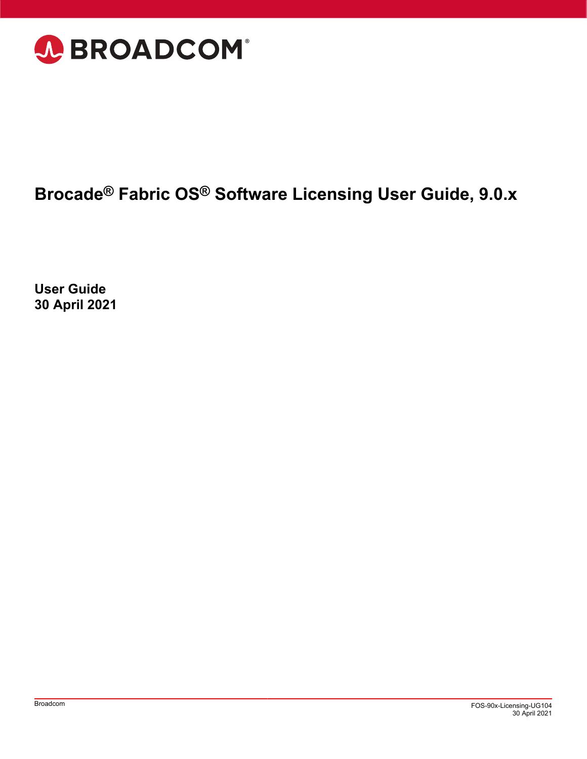

# **Brocade® Fabric OS® Software Licensing User Guide, 9.0.x**

**User Guide 30 April 2021**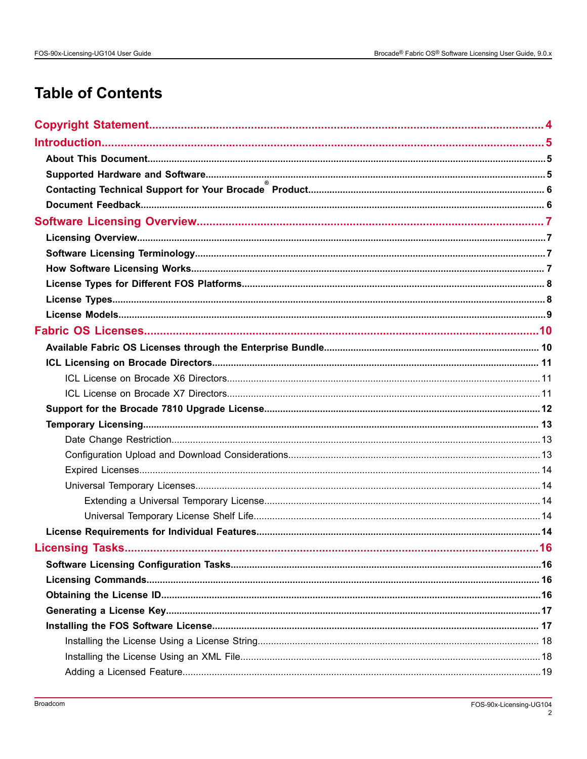# **Table of Contents**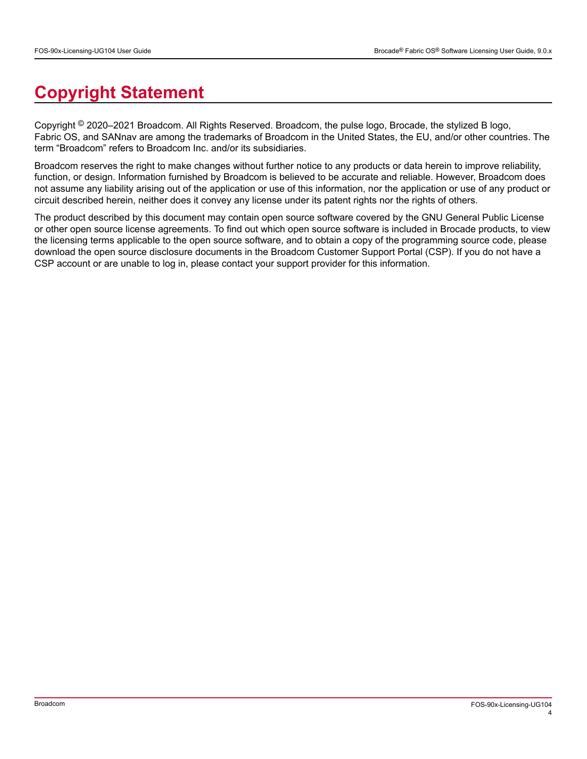# <span id="page-3-0"></span>**Copyright Statement**

Copyright © 2020–2021 Broadcom. All Rights Reserved. Broadcom, the pulse logo, Brocade, the stylized B logo, Fabric OS, and SANnav are among the trademarks of Broadcom in the United States, the EU, and/or other countries. The term "Broadcom" refers to Broadcom Inc. and/or its subsidiaries.

Broadcom reserves the right to make changes without further notice to any products or data herein to improve reliability, function, or design. Information furnished by Broadcom is believed to be accurate and reliable. However, Broadcom does not assume any liability arising out of the application or use of this information, nor the application or use of any product or circuit described herein, neither does it convey any license under its patent rights nor the rights of others.

The product described by this document may contain open source software covered by the GNU General Public License or other open source license agreements. To find out which open source software is included in Brocade products, to view the licensing terms applicable to the open source software, and to obtain a copy of the programming source code, please download the open source disclosure documents in the Broadcom Customer Support Portal (CSP). If you do not have a CSP account or are unable to log in, please contact your support provider for this information.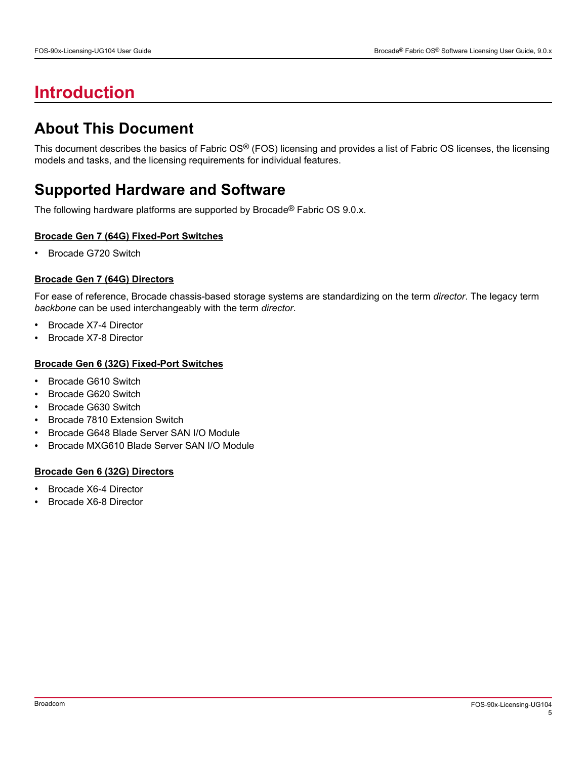# <span id="page-4-0"></span>**Introduction**

### <span id="page-4-1"></span>**About This Document**

This document describes the basics of Fabric OS® (FOS) licensing and provides a list of Fabric OS licenses, the licensing models and tasks, and the licensing requirements for individual features.

## <span id="page-4-2"></span>**Supported Hardware and Software**

The following hardware platforms are supported by Brocade® Fabric OS 9.0.x.

#### **Brocade Gen 7 (64G) Fixed-Port Switches**

• Brocade G720 Switch

#### **Brocade Gen 7 (64G) Directors**

For ease of reference, Brocade chassis-based storage systems are standardizing on the term *director*. The legacy term *backbone* can be used interchangeably with the term *director*.

- Brocade X7-4 Director
- Brocade X7-8 Director

#### **Brocade Gen 6 (32G) Fixed-Port Switches**

- Brocade G610 Switch
- Brocade G620 Switch
- Brocade G630 Switch
- Brocade 7810 Extension Switch
- Brocade G648 Blade Server SAN I/O Module
- Brocade MXG610 Blade Server SAN I/O Module

#### **Brocade Gen 6 (32G) Directors**

- Brocade X6-4 Director
- Brocade X6-8 Director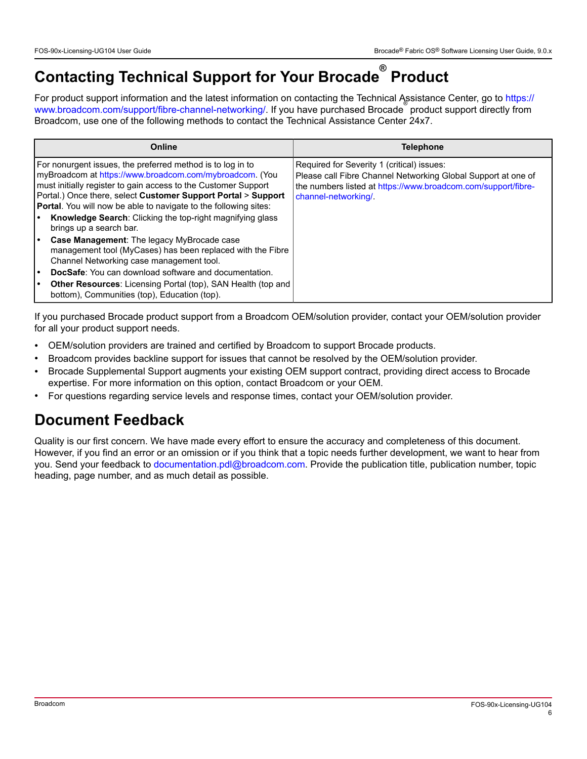# <span id="page-5-0"></span>**Contacting Technical Support for Your Brocade® Product**

For product support information and the latest information on contacting the Technical Assistance Center, go to [https://](https://www.broadcom.com/support/fibre-channel-networking/) [www.broadcom.com/support/fibre-channel-networking/](https://www.broadcom.com/support/fibre-channel-networking/). If you have purchased Brocade ® product support directly from Broadcom, use one of the following methods to contact the Technical Assistance Center 24x7.

| Online                                                                                                                                                                                                                                                                                                                                                                                                                                                                                                                                                                                                                                                                 | <b>Telephone</b>                                                                                                                                                                                    |
|------------------------------------------------------------------------------------------------------------------------------------------------------------------------------------------------------------------------------------------------------------------------------------------------------------------------------------------------------------------------------------------------------------------------------------------------------------------------------------------------------------------------------------------------------------------------------------------------------------------------------------------------------------------------|-----------------------------------------------------------------------------------------------------------------------------------------------------------------------------------------------------|
| For nonurgent issues, the preferred method is to log in to<br>myBroadcom at https://www.broadcom.com/mybroadcom. (You<br>must initially register to gain access to the Customer Support<br>Portal.) Once there, select Customer Support Portal > Support<br>Portal. You will now be able to navigate to the following sites:<br>Knowledge Search: Clicking the top-right magnifying glass<br>brings up a search bar.<br>Case Management: The legacy MyBrocade case<br>$\bullet$<br>management tool (MyCases) has been replaced with the Fibre<br>Channel Networking case management tool.<br><b>DocSafe:</b> You can download software and documentation.<br>$\bullet$ | Required for Severity 1 (critical) issues:<br>Please call Fibre Channel Networking Global Support at one of<br>the numbers listed at https://www.broadcom.com/support/fibre-<br>channel-networking/ |
| <b>Other Resources:</b> Licensing Portal (top), SAN Health (top and<br>bottom), Communities (top), Education (top).                                                                                                                                                                                                                                                                                                                                                                                                                                                                                                                                                    |                                                                                                                                                                                                     |

If you purchased Brocade product support from a Broadcom OEM/solution provider, contact your OEM/solution provider for all your product support needs.

- OEM/solution providers are trained and certified by Broadcom to support Brocade products.
- Broadcom provides backline support for issues that cannot be resolved by the OEM/solution provider.
- Brocade Supplemental Support augments your existing OEM support contract, providing direct access to Brocade expertise. For more information on this option, contact Broadcom or your OEM.
- For questions regarding service levels and response times, contact your OEM/solution provider.

### <span id="page-5-1"></span>**Document Feedback**

Quality is our first concern. We have made every effort to ensure the accuracy and completeness of this document. However, if you find an error or an omission or if you think that a topic needs further development, we want to hear from you. Send your feedback to [documentation.pdl@broadcom.com](mailto:documentation.pdl@broadcom.com). Provide the publication title, publication number, topic heading, page number, and as much detail as possible.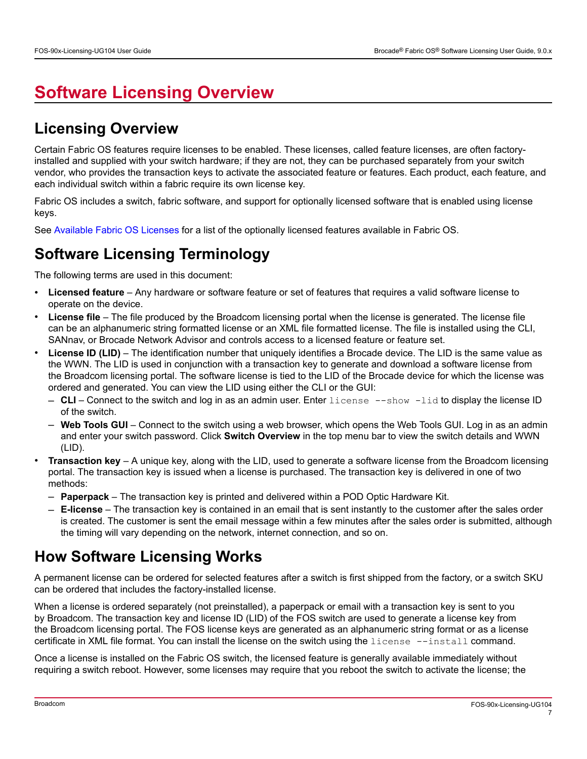# <span id="page-6-0"></span>**Software Licensing Overview**

## <span id="page-6-1"></span>**Licensing Overview**

Certain Fabric OS features require licenses to be enabled. These licenses, called feature licenses, are often factoryinstalled and supplied with your switch hardware; if they are not, they can be purchased separately from your switch vendor, who provides the transaction keys to activate the associated feature or features. Each product, each feature, and each individual switch within a fabric require its own license key.

Fabric OS includes a switch, fabric software, and support for optionally licensed software that is enabled using license keys.

See [Available Fabric OS Licenses](#page-9-1) for a list of the optionally licensed features available in Fabric OS.

## <span id="page-6-2"></span>**Software Licensing Terminology**

The following terms are used in this document:

- **Licensed feature** Any hardware or software feature or set of features that requires a valid software license to operate on the device.
- **License file** The file produced by the Broadcom licensing portal when the license is generated. The license file can be an alphanumeric string formatted license or an XML file formatted license. The file is installed using the CLI, SANnav, or Brocade Network Advisor and controls access to a licensed feature or feature set.
- **License ID (LID)** The identification number that uniquely identifies a Brocade device. The LID is the same value as the WWN. The LID is used in conjunction with a transaction key to generate and download a software license from the Broadcom licensing portal. The software license is tied to the LID of the Brocade device for which the license was ordered and generated. You can view the LID using either the CLI or the GUI:
	- **CLI** Connect to the switch and log in as an admin user. Enter license --show -lid to display the license ID of the switch.
	- **Web Tools GUI** Connect to the switch using a web browser, which opens the Web Tools GUI. Log in as an admin and enter your switch password. Click **Switch Overview** in the top menu bar to view the switch details and WWN (LID).
- **Transaction key** A unique key, along with the LID, used to generate a software license from the Broadcom licensing portal. The transaction key is issued when a license is purchased. The transaction key is delivered in one of two methods:
	- **Paperpack** The transaction key is printed and delivered within a POD Optic Hardware Kit.
	- **E-license** The transaction key is contained in an email that is sent instantly to the customer after the sales order is created. The customer is sent the email message within a few minutes after the sales order is submitted, although the timing will vary depending on the network, internet connection, and so on.

## <span id="page-6-3"></span>**How Software Licensing Works**

A permanent license can be ordered for selected features after a switch is first shipped from the factory, or a switch SKU can be ordered that includes the factory-installed license.

When a license is ordered separately (not preinstalled), a paperpack or email with a transaction key is sent to you by Broadcom. The transaction key and license ID (LID) of the FOS switch are used to generate a license key from the Broadcom licensing portal. The FOS license keys are generated as an alphanumeric string format or as a license certificate in XML file format. You can install the license on the switch using the license --install command.

Once a license is installed on the Fabric OS switch, the licensed feature is generally available immediately without requiring a switch reboot. However, some licenses may require that you reboot the switch to activate the license; the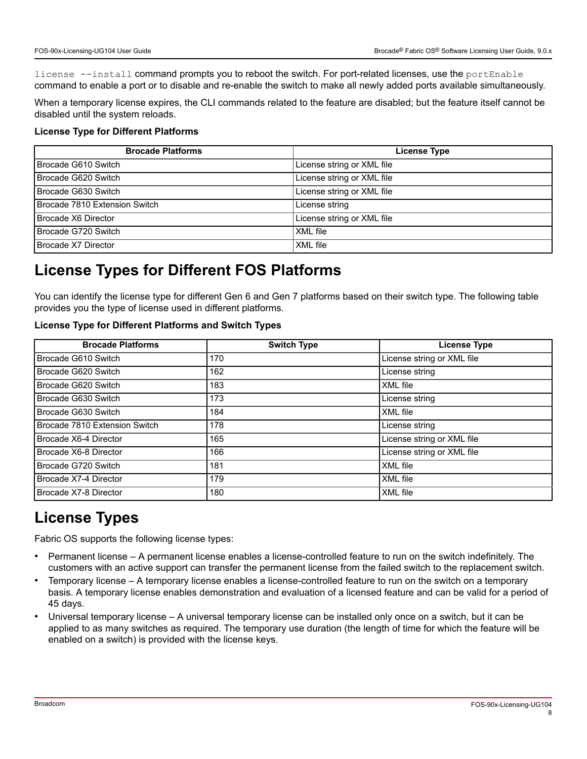license --install command prompts you to reboot the switch. For port-related licenses, use the portEnable command to enable a port or to disable and re-enable the switch to make all newly added ports available simultaneously.

When a temporary license expires, the CLI commands related to the feature are disabled; but the feature itself cannot be disabled until the system reloads.

#### **License Type for Different Platforms**

| <b>Brocade Platforms</b>      | <b>License Type</b>        |
|-------------------------------|----------------------------|
| Brocade G610 Switch           | License string or XML file |
| Brocade G620 Switch           | License string or XML file |
| Brocade G630 Switch           | License string or XML file |
| Brocade 7810 Extension Switch | License string             |
| Brocade X6 Director           | License string or XML file |
| Brocade G720 Switch           | XML file                   |
| Brocade X7 Director           | XML file                   |

## <span id="page-7-0"></span>**License Types for Different FOS Platforms**

You can identify the license type for different Gen 6 and Gen 7 platforms based on their switch type. The following table provides you the type of license used in different platforms.

| License Type for Different Platforms and Switch Types |  |
|-------------------------------------------------------|--|
|-------------------------------------------------------|--|

| <b>Brocade Platforms</b>      | <b>Switch Type</b> | <b>License Type</b>        |
|-------------------------------|--------------------|----------------------------|
| Brocade G610 Switch           | 170                | License string or XML file |
| Brocade G620 Switch           | 162                | License string             |
| Brocade G620 Switch           | 183                | XML file                   |
| Brocade G630 Switch           | 173                | License string             |
| Brocade G630 Switch           | 184                | XML file                   |
| Brocade 7810 Extension Switch | 178                | License string             |
| Brocade X6-4 Director         | 165                | License string or XML file |
| Brocade X6-8 Director         | 166                | License string or XML file |
| Brocade G720 Switch           | 181                | XML file                   |
| Brocade X7-4 Director         | 179                | <b>XML</b> file            |
| Brocade X7-8 Director         | 180                | <b>XML</b> file            |

## <span id="page-7-1"></span>**License Types**

Fabric OS supports the following license types:

- Permanent license A permanent license enables a license-controlled feature to run on the switch indefinitely. The customers with an active support can transfer the permanent license from the failed switch to the replacement switch.
- Temporary license A temporary license enables a license-controlled feature to run on the switch on a temporary basis. A temporary license enables demonstration and evaluation of a licensed feature and can be valid for a period of 45 days.
- Universal temporary license A universal temporary license can be installed only once on a switch, but it can be applied to as many switches as required. The temporary use duration (the length of time for which the feature will be enabled on a switch) is provided with the license keys.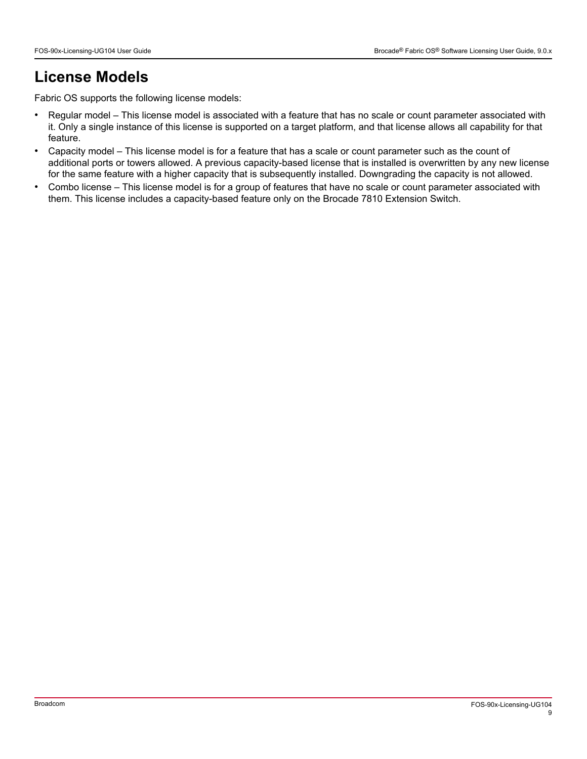## <span id="page-8-0"></span>**License Models**

Fabric OS supports the following license models:

- Regular model This license model is associated with a feature that has no scale or count parameter associated with it. Only a single instance of this license is supported on a target platform, and that license allows all capability for that feature.
- Capacity model This license model is for a feature that has a scale or count parameter such as the count of additional ports or towers allowed. A previous capacity-based license that is installed is overwritten by any new license for the same feature with a higher capacity that is subsequently installed. Downgrading the capacity is not allowed.
- Combo license This license model is for a group of features that have no scale or count parameter associated with them. This license includes a capacity-based feature only on the Brocade 7810 Extension Switch.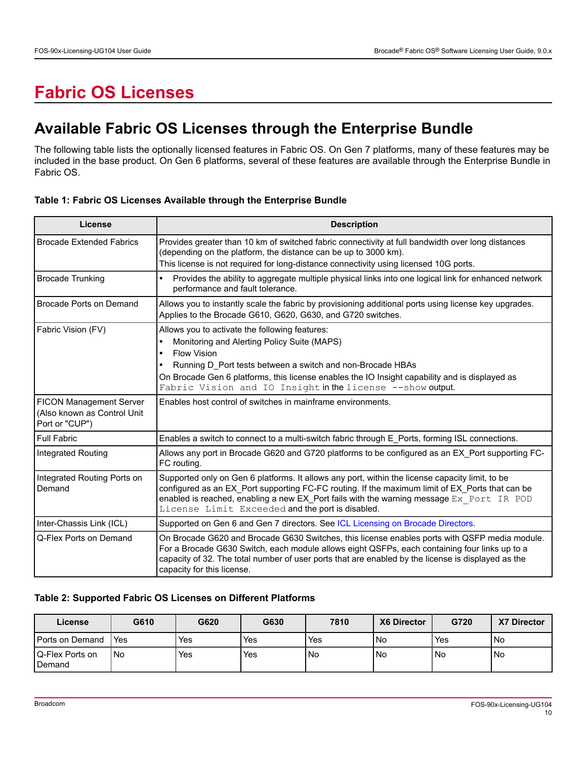# <span id="page-9-0"></span>**Fabric OS Licenses**

## <span id="page-9-1"></span>**Available Fabric OS Licenses through the Enterprise Bundle**

The following table lists the optionally licensed features in Fabric OS. On Gen 7 platforms, many of these features may be included in the base product. On Gen 6 platforms, several of these features are available through the Enterprise Bundle in Fabric OS.

| License                                                                         | <b>Description</b>                                                                                                                                                                                                                                                                                                                                             |
|---------------------------------------------------------------------------------|----------------------------------------------------------------------------------------------------------------------------------------------------------------------------------------------------------------------------------------------------------------------------------------------------------------------------------------------------------------|
| <b>Brocade Extended Fabrics</b>                                                 | Provides greater than 10 km of switched fabric connectivity at full bandwidth over long distances<br>(depending on the platform, the distance can be up to 3000 km).<br>This license is not required for long-distance connectivity using licensed 10G ports.                                                                                                  |
| <b>Brocade Trunking</b>                                                         | Provides the ability to aggregate multiple physical links into one logical link for enhanced network<br>performance and fault tolerance.                                                                                                                                                                                                                       |
| Brocade Ports on Demand                                                         | Allows you to instantly scale the fabric by provisioning additional ports using license key upgrades.<br>Applies to the Brocade G610, G620, G630, and G720 switches.                                                                                                                                                                                           |
| Fabric Vision (FV)                                                              | Allows you to activate the following features:<br>Monitoring and Alerting Policy Suite (MAPS)<br><b>Flow Vision</b><br>$\bullet$<br>Running D_Port tests between a switch and non-Brocade HBAs<br>On Brocade Gen 6 platforms, this license enables the IO Insight capability and is displayed as<br>Fabric Vision and IO Insight in the license --show output. |
| <b>FICON Management Server</b><br>(Also known as Control Unit<br>Port or "CUP") | Enables host control of switches in mainframe environments.                                                                                                                                                                                                                                                                                                    |
| <b>Full Fabric</b>                                                              | Enables a switch to connect to a multi-switch fabric through E Ports, forming ISL connections.                                                                                                                                                                                                                                                                 |
| Integrated Routing                                                              | Allows any port in Brocade G620 and G720 platforms to be configured as an EX Port supporting FC-<br>FC routing.                                                                                                                                                                                                                                                |
| Integrated Routing Ports on<br>Demand                                           | Supported only on Gen 6 platforms. It allows any port, within the license capacity limit, to be<br>configured as an EX Port supporting FC-FC routing. If the maximum limit of EX Ports that can be<br>enabled is reached, enabling a new EX Port fails with the warning message Ex Port IR POD<br>License Limit Exceeded and the port is disabled.             |
| Inter-Chassis Link (ICL)                                                        | Supported on Gen 6 and Gen 7 directors. See ICL Licensing on Brocade Directors.                                                                                                                                                                                                                                                                                |
| Q-Flex Ports on Demand                                                          | On Brocade G620 and Brocade G630 Switches, this license enables ports with QSFP media module.<br>For a Brocade G630 Switch, each module allows eight QSFPs, each containing four links up to a<br>capacity of 32. The total number of user ports that are enabled by the license is displayed as the<br>capacity for this license.                             |

#### **Table 1: Fabric OS Licenses Available through the Enterprise Bundle**

#### **Table 2: Supported Fabric OS Licenses on Different Platforms**

| License                                  | G610 | G620 | G630 | 7810 | <b>X6 Director</b> | G720 | <b>X7 Director</b> |
|------------------------------------------|------|------|------|------|--------------------|------|--------------------|
| <b>Ports on Demand</b>                   | 'Yes | Yes  | 'Yes | Yes  | l No               | Yes  | l No               |
| <b>IQ-Flex Ports on</b><br><b>Demand</b> | l No | Yes  | 'Yes | l No | l No               | 'No  | l No               |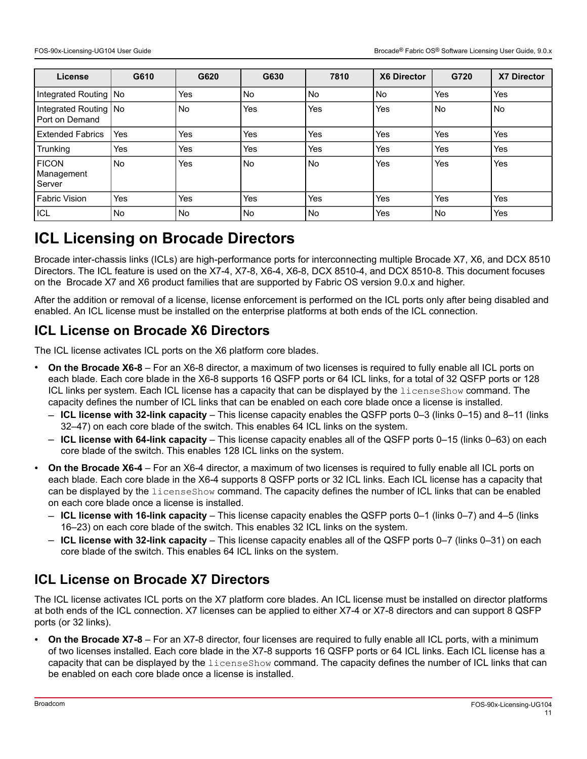| License                                   | G610      | G620      | G630      | 7810 | <b>X6 Director</b> | G720           | <b>X7 Director</b> |
|-------------------------------------------|-----------|-----------|-----------|------|--------------------|----------------|--------------------|
| Integrated Routing   No                   |           | Yes       | <b>No</b> | No   | <b>No</b>          | Yes            | Yes                |
| Integrated Routing No<br>l Port on Demand |           | <b>No</b> | Yes       | Yes  | Yes                | N <sub>o</sub> | N <sub>o</sub>     |
| Extended Fabrics                          | Yes       | Yes       | Yes       | Yes  | Yes                | Yes            | Yes                |
| Trunking                                  | Yes       | Yes       | Yes       | Yes  | Yes                | Yes            | Yes                |
| <b>FICON</b><br>Management<br>Server      | l No      | Yes       | <b>No</b> | l No | Yes                | Yes            | Yes                |
| l Fabric Vision                           | Yes       | Yes       | Yes       | Yes  | Yes                | Yes            | Yes                |
| <b>ICL</b>                                | <b>No</b> | <b>No</b> | <b>No</b> | l No | Yes                | N <sub>o</sub> | Yes                |

## <span id="page-10-0"></span>**ICL Licensing on Brocade Directors**

Brocade inter-chassis links (ICLs) are high-performance ports for interconnecting multiple Brocade X7, X6, and DCX 8510 Directors. The ICL feature is used on the X7-4, X7-8, X6-4, X6-8, DCX 8510-4, and DCX 8510-8. This document focuses on the Brocade X7 and X6 product families that are supported by Fabric OS version 9.0.x and higher.

After the addition or removal of a license, license enforcement is performed on the ICL ports only after being disabled and enabled. An ICL license must be installed on the enterprise platforms at both ends of the ICL connection.

### <span id="page-10-1"></span>**ICL License on Brocade X6 Directors**

The ICL license activates ICL ports on the X6 platform core blades.

- **On the Brocade X6-8** For an X6-8 director, a maximum of two licenses is required to fully enable all ICL ports on each blade. Each core blade in the X6-8 supports 16 QSFP ports or 64 ICL links, for a total of 32 QSFP ports or 128 ICL links per system. Each ICL license has a capacity that can be displayed by the licenseShow command. The capacity defines the number of ICL links that can be enabled on each core blade once a license is installed.
	- **ICL license with 32-link capacity** This license capacity enables the QSFP ports 0–3 (links 0–15) and 8–11 (links 32–47) on each core blade of the switch. This enables 64 ICL links on the system.
	- **ICL license with 64-link capacity** This license capacity enables all of the QSFP ports 0–15 (links 0–63) on each core blade of the switch. This enables 128 ICL links on the system.
- **On the Brocade X6-4** For an X6-4 director, a maximum of two licenses is required to fully enable all ICL ports on each blade. Each core blade in the X6-4 supports 8 QSFP ports or 32 ICL links. Each ICL license has a capacity that can be displayed by the licenseShow command. The capacity defines the number of ICL links that can be enabled on each core blade once a license is installed.
	- **ICL license with 16-link capacity** This license capacity enables the QSFP ports 0–1 (links 0–7) and 4–5 (links 16–23) on each core blade of the switch. This enables 32 ICL links on the system.
	- **ICL license with 32-link capacity** This license capacity enables all of the QSFP ports 0–7 (links 0–31) on each core blade of the switch. This enables 64 ICL links on the system.

### <span id="page-10-2"></span>**ICL License on Brocade X7 Directors**

The ICL license activates ICL ports on the X7 platform core blades. An ICL license must be installed on director platforms at both ends of the ICL connection. X7 licenses can be applied to either X7-4 or X7-8 directors and can support 8 QSFP ports (or 32 links).

• **On the Brocade X7-8** – For an X7-8 director, four licenses are required to fully enable all ICL ports, with a minimum of two licenses installed. Each core blade in the X7-8 supports 16 QSFP ports or 64 ICL links. Each ICL license has a capacity that can be displayed by the licenseShow command. The capacity defines the number of ICL links that can be enabled on each core blade once a license is installed.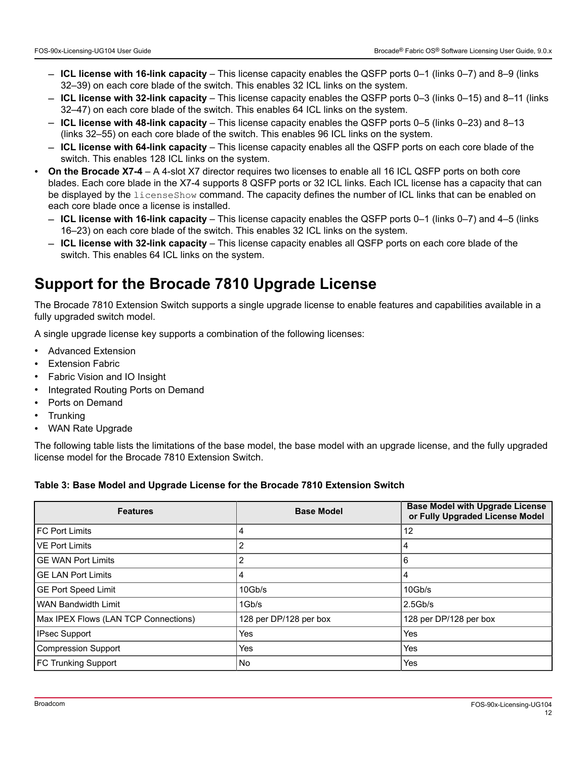- **ICL license with 16-link capacity**  This license capacity enables the QSFP ports 0–1 (links 0–7) and 8–9 (links 32–39) on each core blade of the switch. This enables 32 ICL links on the system.
- **ICL license with 32-link capacity** This license capacity enables the QSFP ports 0–3 (links 0–15) and 8–11 (links 32–47) on each core blade of the switch. This enables 64 ICL links on the system.
- **ICL license with 48-link capacity** This license capacity enables the QSFP ports 0–5 (links 0–23) and 8–13 (links 32–55) on each core blade of the switch. This enables 96 ICL links on the system.
- **ICL license with 64-link capacity** This license capacity enables all the QSFP ports on each core blade of the switch. This enables 128 ICL links on the system.
- **On the Brocade X7-4** A 4-slot X7 director requires two licenses to enable all 16 ICL QSFP ports on both core blades. Each core blade in the X7-4 supports 8 QSFP ports or 32 ICL links. Each ICL license has a capacity that can be displayed by the licenseShow command. The capacity defines the number of ICL links that can be enabled on each core blade once a license is installed.
- **ICL license with 16-link capacity** This license capacity enables the QSFP ports 0–1 (links 0–7) and 4–5 (links 16–23) on each core blade of the switch. This enables 32 ICL links on the system.
- **ICL license with 32-link capacity** This license capacity enables all QSFP ports on each core blade of the switch. This enables 64 ICL links on the system.

## <span id="page-11-0"></span>**Support for the Brocade 7810 Upgrade License**

The Brocade 7810 Extension Switch supports a single upgrade license to enable features and capabilities available in a fully upgraded switch model.

A single upgrade license key supports a combination of the following licenses:

- Advanced Extension
- **Extension Fabric**
- Fabric Vision and IO Insight
- Integrated Routing Ports on Demand
- Ports on Demand
- **Trunking**
- WAN Rate Upgrade

The following table lists the limitations of the base model, the base model with an upgrade license, and the fully upgraded license model for the Brocade 7810 Extension Switch.

#### **Table 3: Base Model and Upgrade License for the Brocade 7810 Extension Switch**

| <b>Features</b>                      | <b>Base Model</b>      | <b>Base Model with Upgrade License</b><br>or Fully Upgraded License Model |
|--------------------------------------|------------------------|---------------------------------------------------------------------------|
| <b>IFC Port Limits</b>               | 4                      | 12                                                                        |
| <b>VE Port Limits</b>                |                        | 4                                                                         |
| I GE WAN Port Limits                 |                        | 6                                                                         |
| l GE LAN Port Limits                 |                        | 4                                                                         |
| GE Port Speed Limit                  | 10Gb/s                 | 10Gb/s                                                                    |
| l WAN Bandwidth Limit                | 1Gb/s                  | 2.5Gb/s                                                                   |
| Max IPEX Flows (LAN TCP Connections) | 128 per DP/128 per box | 128 per DP/128 per box                                                    |
| <b>IPsec Support</b>                 | Yes                    | Yes                                                                       |
| Compression Support                  | Yes                    | Yes                                                                       |
| <b>FC Trunking Support</b>           | No                     | Yes                                                                       |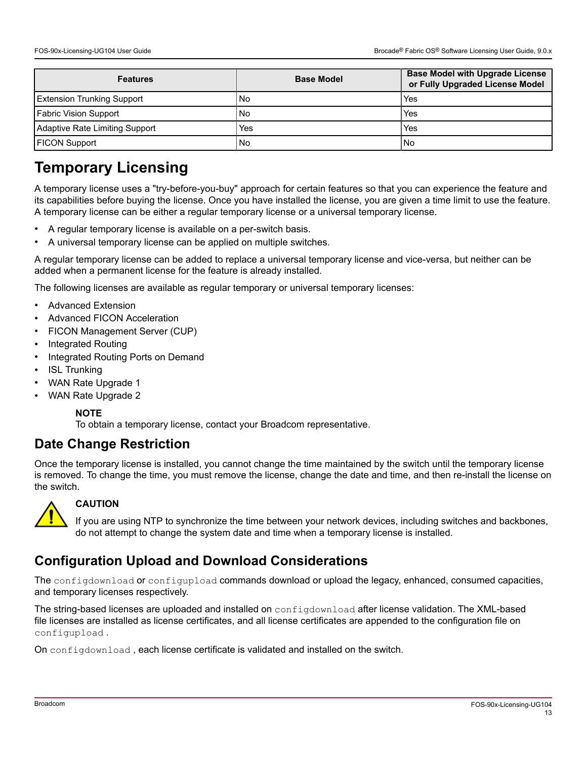| <b>Features</b>                   | <b>Base Model</b> | <b>Base Model with Upgrade License</b><br>or Fully Upgraded License Model |
|-----------------------------------|-------------------|---------------------------------------------------------------------------|
| <b>Extension Trunking Support</b> | No                | Yes                                                                       |
| <b>Fabric Vision Support</b>      | No                | Yes                                                                       |
| Adaptive Rate Limiting Support    | Yes               | Yes                                                                       |
| <b>FICON Support</b>              | No                | l No                                                                      |

## <span id="page-12-0"></span>**Temporary Licensing**

A temporary license uses a "try-before-you-buy" approach for certain features so that you can experience the feature and its capabilities before buying the license. Once you have installed the license, you are given a time limit to use the feature. A temporary license can be either a regular temporary license or a universal temporary license.

- A regular temporary license is available on a per-switch basis.
- A universal temporary license can be applied on multiple switches.

A regular temporary license can be added to replace a universal temporary license and vice-versa, but neither can be added when a permanent license for the feature is already installed.

The following licenses are available as regular temporary or universal temporary licenses:

- Advanced Extension
- Advanced FICON Acceleration
- FICON Management Server (CUP)
- Integrated Routing
- Integrated Routing Ports on Demand
- **ISL Trunking**
- WAN Rate Upgrade 1
- WAN Rate Upgrade 2

#### **NOTE**

To obtain a temporary license, contact your Broadcom representative.

### <span id="page-12-1"></span>**Date Change Restriction**

Once the temporary license is installed, you cannot change the time maintained by the switch until the temporary license is removed. To change the time, you must remove the license, change the date and time, and then re-install the license on the switch.



### **CAUTION**

If you are using NTP to synchronize the time between your network devices, including switches and backbones, do not attempt to change the system date and time when a temporary license is installed.

### <span id="page-12-2"></span>**Configuration Upload and Download Considerations**

The configdownload or configupload commands download or upload the legacy, enhanced, consumed capacities, and temporary licenses respectively.

The string-based licenses are uploaded and installed on configdownload after license validation. The XML-based file licenses are installed as license certificates, and all license certificates are appended to the configuration file on configupload .

On configdownload , each license certificate is validated and installed on the switch.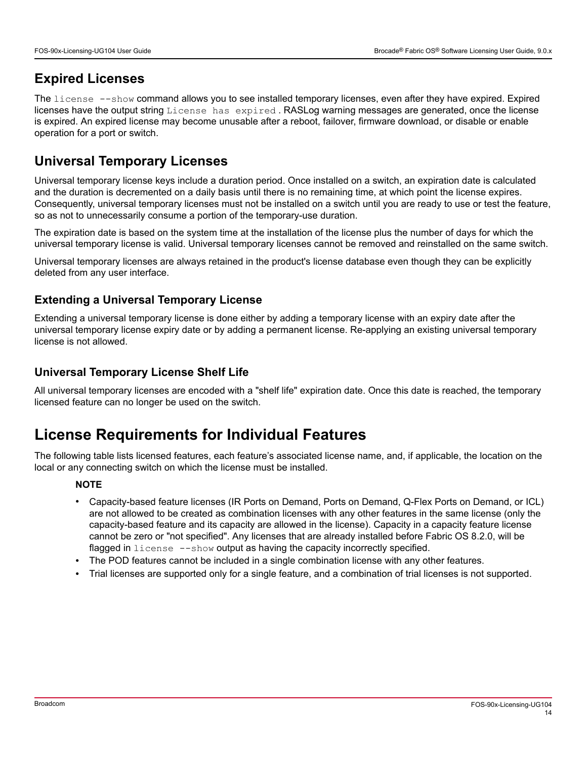### <span id="page-13-0"></span>**Expired Licenses**

The license --show command allows you to see installed temporary licenses, even after they have expired. Expired licenses have the output string License has expired . RASLog warning messages are generated, once the license is expired. An expired license may become unusable after a reboot, failover, firmware download, or disable or enable operation for a port or switch.

### <span id="page-13-1"></span>**Universal Temporary Licenses**

Universal temporary license keys include a duration period. Once installed on a switch, an expiration date is calculated and the duration is decremented on a daily basis until there is no remaining time, at which point the license expires. Consequently, universal temporary licenses must not be installed on a switch until you are ready to use or test the feature, so as not to unnecessarily consume a portion of the temporary-use duration.

The expiration date is based on the system time at the installation of the license plus the number of days for which the universal temporary license is valid. Universal temporary licenses cannot be removed and reinstalled on the same switch.

Universal temporary licenses are always retained in the product's license database even though they can be explicitly deleted from any user interface.

### <span id="page-13-2"></span>**Extending a Universal Temporary License**

Extending a universal temporary license is done either by adding a temporary license with an expiry date after the universal temporary license expiry date or by adding a permanent license. Re-applying an existing universal temporary license is not allowed.

### <span id="page-13-3"></span>**Universal Temporary License Shelf Life**

All universal temporary licenses are encoded with a "shelf life" expiration date. Once this date is reached, the temporary licensed feature can no longer be used on the switch.

## <span id="page-13-4"></span>**License Requirements for Individual Features**

The following table lists licensed features, each feature's associated license name, and, if applicable, the location on the local or any connecting switch on which the license must be installed.

### **NOTE**

- Capacity-based feature licenses (IR Ports on Demand, Ports on Demand, Q-Flex Ports on Demand, or ICL) are not allowed to be created as combination licenses with any other features in the same license (only the capacity-based feature and its capacity are allowed in the license). Capacity in a capacity feature license cannot be zero or "not specified". Any licenses that are already installed before Fabric OS 8.2.0, will be flagged in license --show output as having the capacity incorrectly specified.
- The POD features cannot be included in a single combination license with any other features.
- Trial licenses are supported only for a single feature, and a combination of trial licenses is not supported.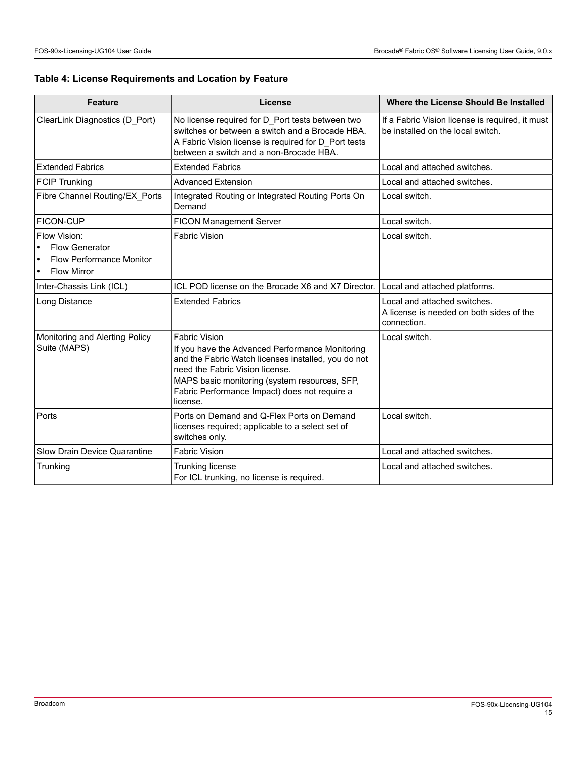### **Table 4: License Requirements and Location by Feature**

| <b>Feature</b>                                                                                                           | License                                                                                                                                                                                                                                                                         | Where the License Should Be Installed                                                   |  |
|--------------------------------------------------------------------------------------------------------------------------|---------------------------------------------------------------------------------------------------------------------------------------------------------------------------------------------------------------------------------------------------------------------------------|-----------------------------------------------------------------------------------------|--|
| ClearLink Diagnostics (D_Port)                                                                                           | No license required for D_Port tests between two<br>switches or between a switch and a Brocade HBA.<br>A Fabric Vision license is required for D Port tests<br>between a switch and a non-Brocade HBA.                                                                          | If a Fabric Vision license is required, it must<br>be installed on the local switch.    |  |
| <b>Extended Fabrics</b>                                                                                                  | <b>Extended Fabrics</b>                                                                                                                                                                                                                                                         | Local and attached switches.                                                            |  |
| <b>FCIP Trunking</b>                                                                                                     | <b>Advanced Extension</b>                                                                                                                                                                                                                                                       | Local and attached switches.                                                            |  |
| Fibre Channel Routing/EX Ports                                                                                           | Integrated Routing or Integrated Routing Ports On<br>Demand                                                                                                                                                                                                                     | Local switch.                                                                           |  |
| <b>FICON-CUP</b>                                                                                                         | <b>FICON Management Server</b>                                                                                                                                                                                                                                                  | Local switch.                                                                           |  |
| Flow Vision:<br><b>Flow Generator</b><br>$\bullet$<br><b>Flow Performance Monitor</b><br>$\bullet$<br><b>Flow Mirror</b> | <b>Fabric Vision</b>                                                                                                                                                                                                                                                            | Local switch.                                                                           |  |
| Inter-Chassis Link (ICL)                                                                                                 | ICL POD license on the Brocade X6 and X7 Director.                                                                                                                                                                                                                              | Local and attached platforms.                                                           |  |
| Long Distance                                                                                                            | <b>Extended Fabrics</b>                                                                                                                                                                                                                                                         | Local and attached switches.<br>A license is needed on both sides of the<br>connection. |  |
| Monitoring and Alerting Policy<br>Suite (MAPS)                                                                           | <b>Fabric Vision</b><br>If you have the Advanced Performance Monitoring<br>and the Fabric Watch licenses installed, you do not<br>need the Fabric Vision license.<br>MAPS basic monitoring (system resources, SFP,<br>Fabric Performance Impact) does not require a<br>license. | Local switch.                                                                           |  |
| Ports                                                                                                                    | Ports on Demand and Q-Flex Ports on Demand<br>licenses required; applicable to a select set of<br>switches only.                                                                                                                                                                | Local switch.                                                                           |  |
| <b>Slow Drain Device Quarantine</b>                                                                                      | <b>Fabric Vision</b>                                                                                                                                                                                                                                                            | Local and attached switches.                                                            |  |
| Trunking                                                                                                                 | <b>Trunking license</b><br>For ICL trunking, no license is required.                                                                                                                                                                                                            | Local and attached switches.                                                            |  |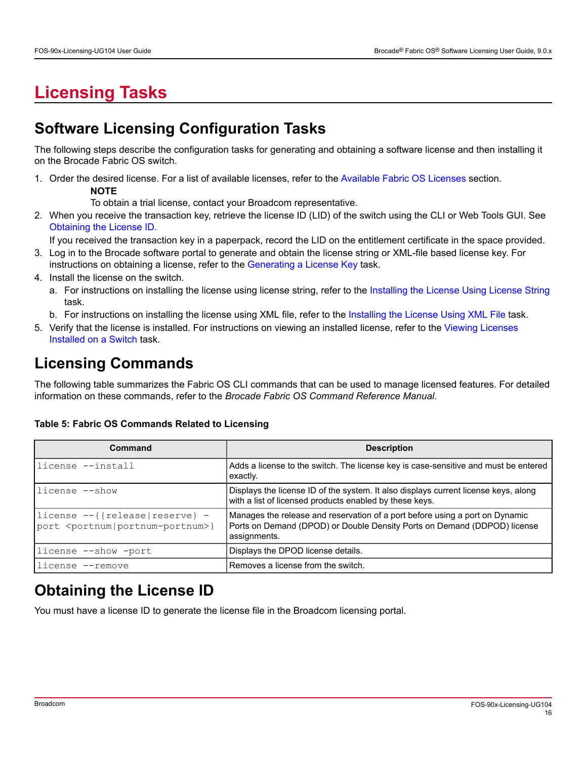# <span id="page-15-0"></span>**Licensing Tasks**

## <span id="page-15-1"></span>**Software Licensing Configuration Tasks**

The following steps describe the configuration tasks for generating and obtaining a software license and then installing it on the Brocade Fabric OS switch.

1. Order the desired license. For a list of available licenses, refer to the [Available Fabric OS Licenses](#page-9-1) section. **NOTE**

To obtain a trial license, contact your Broadcom representative.

2. When you receive the transaction key, retrieve the license ID (LID) of the switch using the CLI or Web Tools GUI. See [Obtaining the License ID](#page-15-3).

If you received the transaction key in a paperpack, record the LID on the entitlement certificate in the space provided.

- 3. Log in to the Brocade software portal to generate and obtain the license string or XML-file based license key. For instructions on obtaining a license, refer to the [Generating a License Key](#page-16-0) task.
- 4. Install the license on the switch.
	- a. For instructions on installing the license using license string, refer to the [Installing the License Using License String](#page-17-0) task.
	- b. For instructions on installing the license using XML file, refer to the [Installing the License Using XML File](#page-17-1) task.
- 5. Verify that the license is installed. For instructions on viewing an installed license, refer to the [Viewing Licenses](#page-21-0) [Installed on a Switch](#page-21-0) task.

## <span id="page-15-2"></span>**Licensing Commands**

The following table summarizes the Fabric OS CLI commands that can be used to manage licensed features. For detailed information on these commands, refer to the *Brocade Fabric OS Command Reference Manual*.

| Command                                                                                     | <b>Description</b>                                                                                                                                                       |
|---------------------------------------------------------------------------------------------|--------------------------------------------------------------------------------------------------------------------------------------------------------------------------|
| license --install                                                                           | Adds a license to the switch. The license key is case-sensitive and must be entered<br>exactly.                                                                          |
| license --show                                                                              | Displays the license ID of the system. It also displays current license keys, along<br>with a list of licensed products enabled by these keys.                           |
| license --{{release reserve} -<br>port <portnum portnum-portnum>}</portnum portnum-portnum> | Manages the release and reservation of a port before using a port on Dynamic<br>Ports on Demand (DPOD) or Double Density Ports on Demand (DDPOD) license<br>assignments. |
| license --show -port                                                                        | Displays the DPOD license details.                                                                                                                                       |
| llicense --remove                                                                           | Removes a license from the switch.                                                                                                                                       |

#### **Table 5: Fabric OS Commands Related to Licensing**

## <span id="page-15-3"></span>**Obtaining the License ID**

You must have a license ID to generate the license file in the Broadcom licensing portal.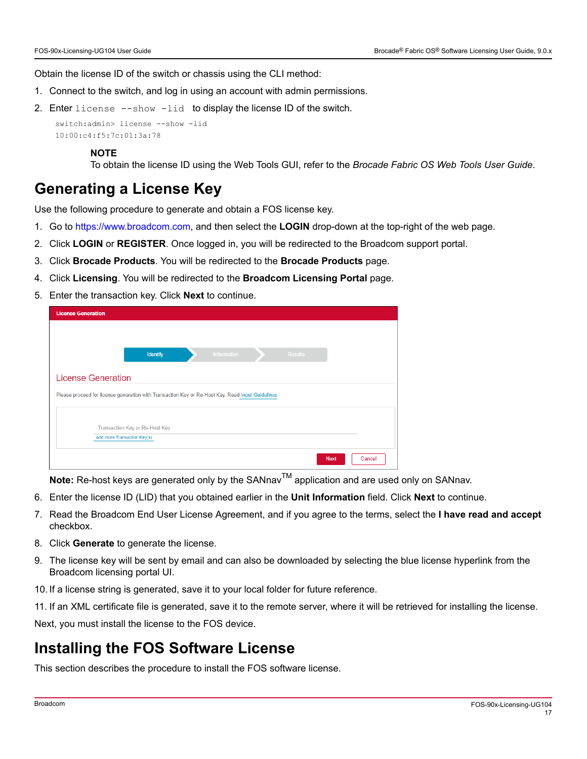Obtain the license ID of the switch or chassis using the CLI method:

- 1. Connect to the switch, and log in using an account with admin permissions.
- 2. Enter license --show -lid to display the license ID of the switch.

```
switch:admin> license --show -lid
10:00:c4:f5:7c:01:3a:78
```
#### **NOTE**

To obtain the license ID using the Web Tools GUI, refer to the *Brocade Fabric OS Web Tools User Guide*.

## <span id="page-16-0"></span>**Generating a License Key**

Use the following procedure to generate and obtain a FOS license key.

- 1. Go to [https://www.broadcom.com,](https://www.broadcom.com/) and then select the **LOGIN** drop-down at the top-right of the web page.
- 2. Click **LOGIN** or **REGISTER**. Once logged in, you will be redirected to the Broadcom support portal.
- 3. Click **Brocade Products**. You will be redirected to the **Brocade Products** page.
- 4. Click **Licensing**. You will be redirected to the **Broadcom Licensing Portal** page.
- 5. Enter the transaction key. Click **Next** to continue.

| <b>License Generation</b>                                                                        |                       |
|--------------------------------------------------------------------------------------------------|-----------------------|
|                                                                                                  |                       |
|                                                                                                  |                       |
| Information<br>Identify<br><b>Results</b>                                                        |                       |
|                                                                                                  |                       |
| <b>License Generation</b>                                                                        |                       |
| Please proceed for license generation with Transaction Key or Re-Host Key. Read Input Guidelines |                       |
|                                                                                                  |                       |
|                                                                                                  |                       |
| Transaction Key or Re-Host Key                                                                   |                       |
| Add more Transaction Key(s)                                                                      |                       |
|                                                                                                  | <b>Next</b><br>Cancel |

Note: Re-host keys are generated only by the SANnav<sup>™</sup> application and are used only on SANnav.

- 6. Enter the license ID (LID) that you obtained earlier in the **Unit Information** field. Click **Next** to continue.
- 7. Read the Broadcom End User License Agreement, and if you agree to the terms, select the **I have read and accept** checkbox.
- 8. Click **Generate** to generate the license.
- 9. The license key will be sent by email and can also be downloaded by selecting the blue license hyperlink from the Broadcom licensing portal UI.
- 10. If a license string is generated, save it to your local folder for future reference.
- 11. If an XML certificate file is generated, save it to the remote server, where it will be retrieved for installing the license.

Next, you must install the license to the FOS device.

### <span id="page-16-1"></span>**Installing the FOS Software License**

This section describes the procedure to install the FOS software license.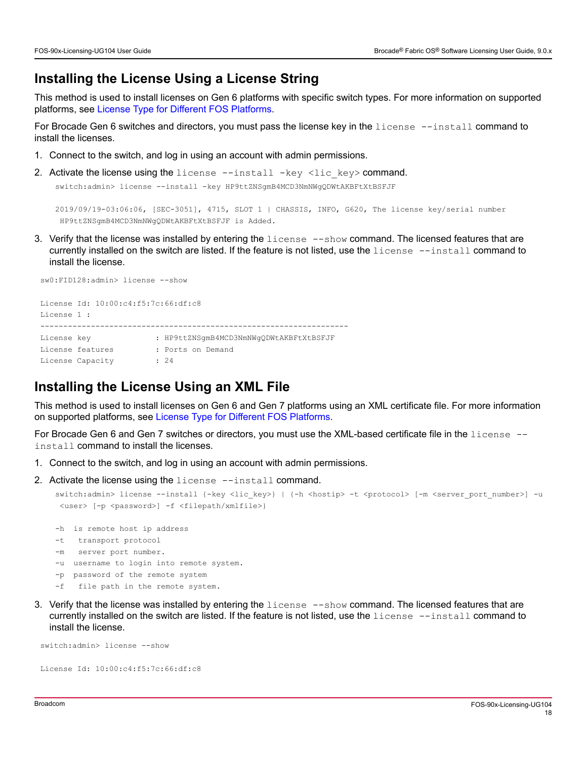### <span id="page-17-0"></span>**Installing the License Using a License String**

This method is used to install licenses on Gen 6 platforms with specific switch types. For more information on supported platforms, see [License Type for Different FOS Platforms](#page-7-0).

For Brocade Gen 6 switches and directors, you must pass the license key in the license --install command to install the licenses.

- 1. Connect to the switch, and log in using an account with admin permissions.
- 2. Activate the license using the license  $-$ install  $-key$  <lic key> command.

```
switch:admin> license --install -key HP9ttZNSgmB4MCD3NmNWgQDWtAKBFtXtBSFJF
```

```
2019/09/19-03:06:06, [SEC-3051], 4715, SLOT 1 | CHASSIS, INFO, G620, The license key/serial number
 HP9ttZNSgmB4MCD3NmNWgQDWtAKBFtXtBSFJF is Added.
```
3. Verify that the license was installed by entering the  $l$  icense  $-$ -show command. The licensed features that are currently installed on the switch are listed. If the feature is not listed, use the  $license -*instant*1$  command to install the license.

```
sw0:FID128:admin> license --show
License Id: 10:00:c4:f5:7c:66:df:c8
License 1 :
-------------------------------------------------------------------
License key : HP9ttZNSgmB4MCD3NmNWgQDWtAKBFtXtBSFJF
License features : Ports on Demand
License Capacity : 24
```
### <span id="page-17-1"></span>**Installing the License Using an XML File**

This method is used to install licenses on Gen 6 and Gen 7 platforms using an XML certificate file. For more information on supported platforms, see [License Type for Different FOS Platforms.](#page-7-0)

For Brocade Gen 6 and Gen 7 switches or directors, you must use the XML-based certificate file in the license -install command to install the licenses.

- 1. Connect to the switch, and log in using an account with admin permissions.
- 2. Activate the license using the license --install command.

```
switch:admin> license --install {-key <lic key>} | {-h <hostip> -t <protocol> [-m <server port number>] -u
 <user> [-p <password>] -f <filepath/xmlfile>}
```

```
-h is remote host ip address
```

```
-t transport protocol
```
- -m server port number.
- -u username to login into remote system.
- -p password of the remote system
- -f file path in the remote system.
- 3. Verify that the license was installed by entering the  $l$  icense  $-$ -show command. The licensed features that are currently installed on the switch are listed. If the feature is not listed, use the license --install command to install the license.

```
switch:admin> license --show
```

```
License Id: 10:00:c4:f5:7c:66:df:c8
```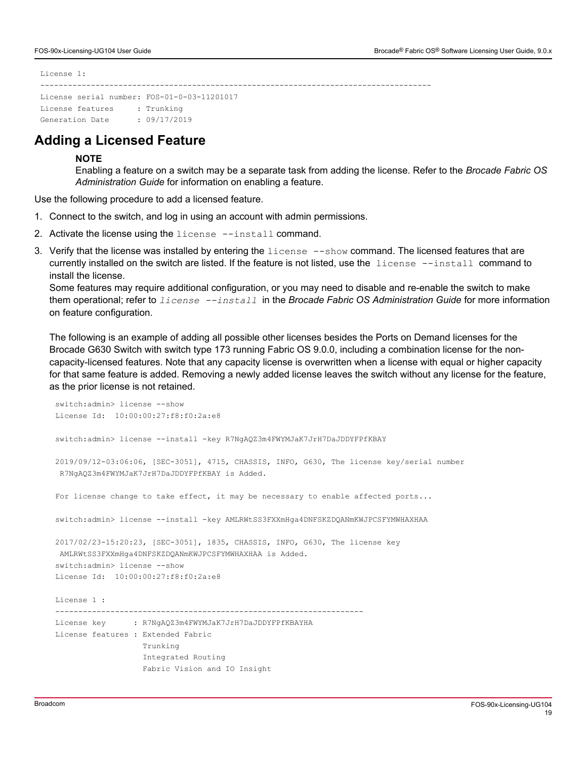```
License 1:
```

```
-------------------------------------------------------------------------------------
License serial number: FOS-01-0-03-11201017
License features : Trunking
Generation Date : 09/17/2019
```
### <span id="page-18-0"></span>**Adding a Licensed Feature**

#### **NOTE**

Enabling a feature on a switch may be a separate task from adding the license. Refer to the *Brocade Fabric OS Administration Guide* for information on enabling a feature.

Use the following procedure to add a licensed feature.

- 1. Connect to the switch, and log in using an account with admin permissions.
- 2. Activate the license using the license --install command.
- 3. Verify that the license was installed by entering the  $l$  icense  $-$ -show command. The licensed features that are currently installed on the switch are listed. If the feature is not listed, use the license --install command to install the license.

Some features may require additional configuration, or you may need to disable and re-enable the switch to make them operational; refer to *license --install* in the *Brocade Fabric OS Administration Guide* for more information on feature configuration.

The following is an example of adding all possible other licenses besides the Ports on Demand licenses for the Brocade G630 Switch with switch type 173 running Fabric OS 9.0.0, including a combination license for the noncapacity-licensed features. Note that any capacity license is overwritten when a license with equal or higher capacity for that same feature is added. Removing a newly added license leaves the switch without any license for the feature, as the prior license is not retained.

```
switch: admin> license --show
License Id: 10:00:00:27:f8:f0:2a:e8
switch:admin> license --install -key R7NgAQZ3m4FWYMJaK7JrH7DaJDDYFPfKBAY
2019/09/12-03:06:06, [SEC-3051], 4715, CHASSIS, INFO, G630, The license key/serial number
 R7NgAQZ3m4FWYMJaK7JrH7DaJDDYFPfKBAY is Added.
For license change to take effect, it may be necessary to enable affected ports...
switch:admin> license --install -key AMLRWtSS3FXXmHga4DNFSKZDQANmKWJPCSFYMWHAXHAA
2017/02/23-15:20:23, [SEC-3051], 1835, CHASSIS, INFO, G630, The license key
 AMLRWtSS3FXXmHga4DNFSKZDQANmKWJPCSFYMWHAXHAA is Added. 
switch:admin> license --show
License Id: 10:00:00:27:f8:f0:2a:e8
License 1 :
-------------------------------------------------------------------
License key : R7NgAQZ3m4FWYMJaK7JrH7DaJDDYFPfKBAYHA
License features : Extended Fabric
                  Trunking
                  Integrated Routing
                  Fabric Vision and IO Insight
```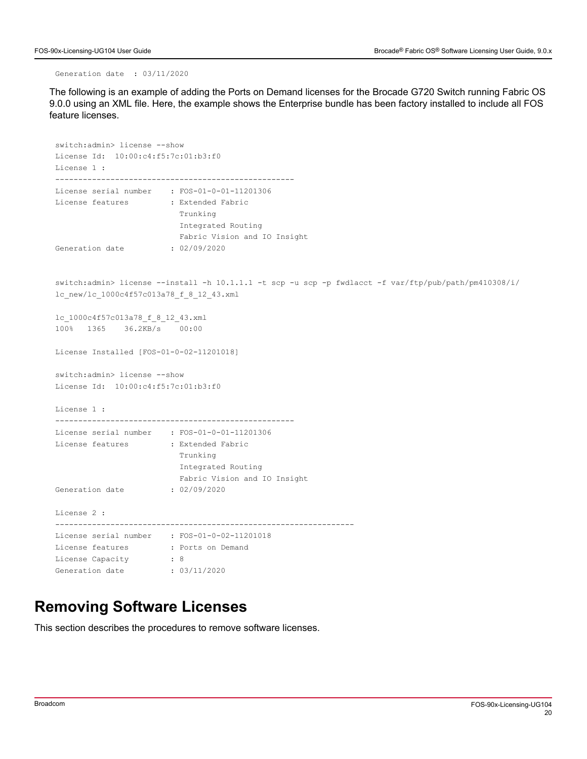Generation date : 03/11/2020

The following is an example of adding the Ports on Demand licenses for the Brocade G720 Switch running Fabric OS 9.0.0 using an XML file. Here, the example shows the Enterprise bundle has been factory installed to include all FOS feature licenses.

```
switch:admin> license --show
License Id: 10:00:c4:f5:7c:01:b3:f0
License 1 :
----------------------------------------------------
License serial number : FOS-01-0-01-11201306
License features : Extended Fabric 
                          Trunking
                          Integrated Routing
                          Fabric Vision and IO Insight
Generation date : 02/09/2020
switch:admin> license --install -h 10.1.1.1 -t scp -u scp -p fwdlacct -f var/ftp/pub/path/pm410308/i/
lc_new/lc_1000c4f57c013a78_f_8_12_43.xml
lc_1000c4f57c013a78_f_8_12_43.xml
100% 1365 36.2KB/s 00:00
License Installed [FOS-01-0-02-11201018]
switch: admin> license --show
License Id: 10:00:c4:f5:7c:01:b3:f0
License 1 :
----------------------------------------------------
License serial number : FOS-01-0-01-11201306
License features : Extended Fabric 
                           Trunking
                          Integrated Routing
                          Fabric Vision and IO Insight
Generation date : 02/09/2020
License 2 :
-----------------------------------------------------------------
License serial number : FOS-01-0-02-11201018
License features : Ports on Demand
License Capacity : 8<br>Generation date : 03/11/2020
Generation date
```
### <span id="page-19-0"></span>**Removing Software Licenses**

This section describes the procedures to remove software licenses.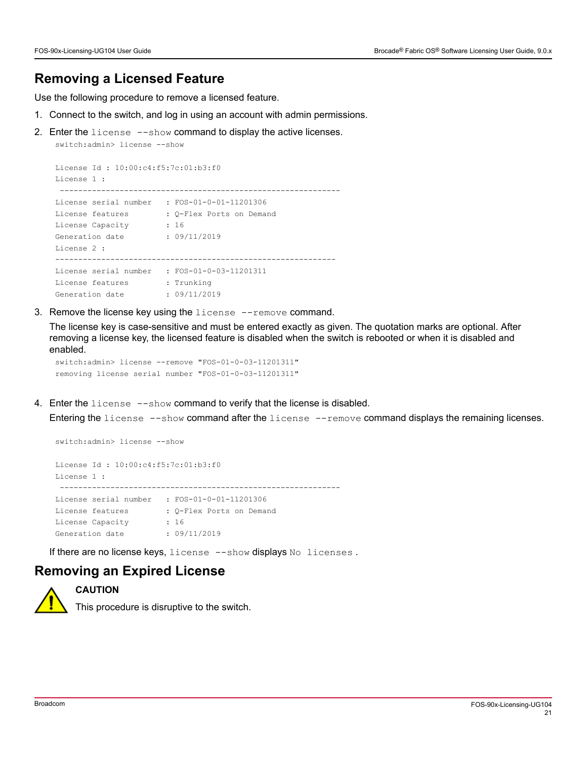### <span id="page-20-0"></span>**Removing a Licensed Feature**

switch:admin> license --show

Use the following procedure to remove a licensed feature.

- 1. Connect to the switch, and log in using an account with admin permissions.
- 2. Enter the license --show command to display the active licenses.

```
License Id : 10:00:c4:f5:7c:01:b3:f0 
License 1 : 
 ------------------------------------------------------------- 
License serial number : FOS-01-0-01-11201306 
License features : Q-Flex Ports on Demand
License Capacity : 16 
Generation date : 09/11/2019
License 2 : 
------------------------------------------------------------- 
License serial number : FOS-01-0-03-11201311 
License features : Trunking
Generation date : 09/11/2019
```
3. Remove the license key using the license --remove command.

The license key is case-sensitive and must be entered exactly as given. The quotation marks are optional. After removing a license key, the licensed feature is disabled when the switch is rebooted or when it is disabled and enabled.

```
switch:admin> license --remove "FOS-01-0-03-11201311"
removing license serial number "FOS-01-0-03-11201311"
```
4. Enter the license --show command to verify that the license is disabled.

Entering the license --show command after the license --remove command displays the remaining licenses.

```
switch:admin> license --show 
License Id : 10:00:c4:f5:7c:01:b3:f0 
License 1 : 
 ------------------------------------------------------------- 
License serial number : FOS-01-0-01-11201306
License features : Q-Flex Ports on Demand
License Capacity : 16
Generation date : 09/11/2019
```
If there are no license keys, license --show displays No licenses.

### <span id="page-20-1"></span>**Removing an Expired License**



#### **CAUTION**

This procedure is disruptive to the switch.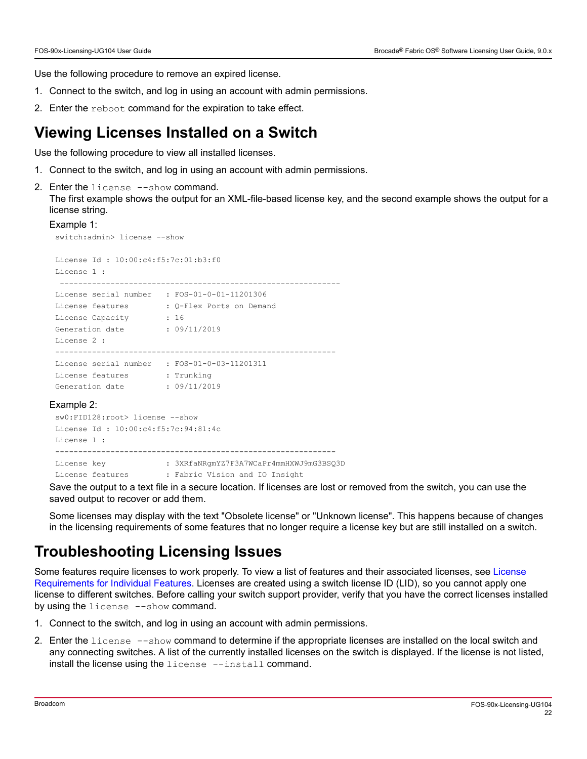Use the following procedure to remove an expired license.

- 1. Connect to the switch, and log in using an account with admin permissions.
- 2. Enter the reboot command for the expiration to take effect.

### <span id="page-21-0"></span>**Viewing Licenses Installed on a Switch**

Use the following procedure to view all installed licenses.

- 1. Connect to the switch, and log in using an account with admin permissions.
- 2. Enter the license --show command.
	- The first example shows the output for an XML-file-based license key, and the second example shows the output for a license string.

#### Example 1:

switch:admin> license --show

```
License Id : 10:00:c4:f5:7c:01:b3:f0 
License 1 : 
 ------------------------------------------------------------- 
License serial number : FOS-01-0-01-11201306 
License features : Q-Flex Ports on Demand
License Capacity : 16 
Generation date : 09/11/2019
License 2 : 
------------------------------------------------------------- 
License serial number : FOS-01-0-03-11201311
License features : Trunking
Generation date : 09/11/2019
```
#### Example 2:

```
sw0:FID128:root> license --show 
License Id : 10:00:c4:f5:7c:94:81:4c 
License 1 : 
------------------------------------------------------------- 
License key : 3XRfaNRgmYZ7F3A7WCaPr4mmHXWJ9mG3BSQ3D 
License features : Fabric Vision and IO Insight
```
Save the output to a text file in a secure location. If licenses are lost or removed from the switch, you can use the saved output to recover or add them.

Some licenses may display with the text "Obsolete license" or "Unknown license". This happens because of changes in the licensing requirements of some features that no longer require a license key but are still installed on a switch.

### <span id="page-21-1"></span>**Troubleshooting Licensing Issues**

Some features require licenses to work properly. To view a list of features and their associated licenses, see [License](#page-13-4) [Requirements for Individual Features.](#page-13-4) Licenses are created using a switch license ID (LID), so you cannot apply one license to different switches. Before calling your switch support provider, verify that you have the correct licenses installed by using the license --show command.

- 1. Connect to the switch, and log in using an account with admin permissions.
- 2. Enter the license --show command to determine if the appropriate licenses are installed on the local switch and any connecting switches. A list of the currently installed licenses on the switch is displayed. If the license is not listed, install the license using the license --install command.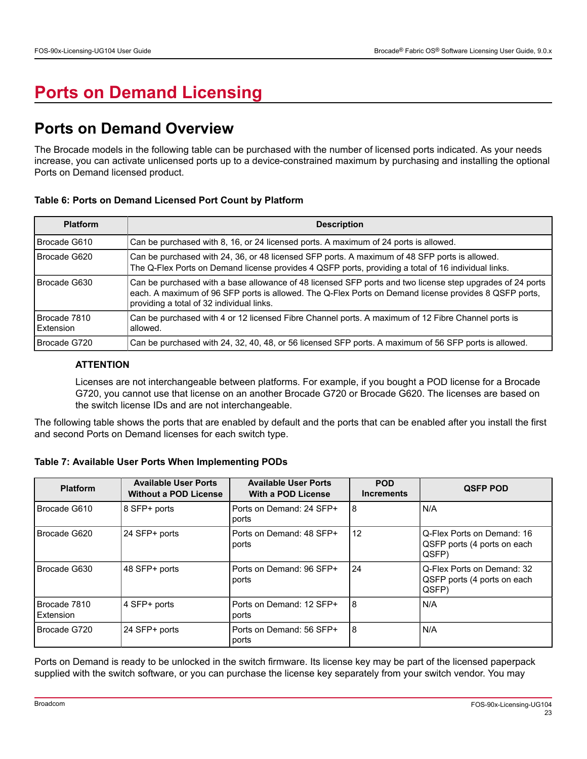# <span id="page-22-0"></span>**Ports on Demand Licensing**

### <span id="page-22-1"></span>**Ports on Demand Overview**

The Brocade models in the following table can be purchased with the number of licensed ports indicated. As your needs increase, you can activate unlicensed ports up to a device-constrained maximum by purchasing and installing the optional Ports on Demand licensed product.

#### **Table 6: Ports on Demand Licensed Port Count by Platform**

| <b>Platform</b>           | <b>Description</b>                                                                                                                                                                                                                                              |
|---------------------------|-----------------------------------------------------------------------------------------------------------------------------------------------------------------------------------------------------------------------------------------------------------------|
| Brocade G610              | Can be purchased with 8, 16, or 24 licensed ports. A maximum of 24 ports is allowed.                                                                                                                                                                            |
| Brocade G620              | Can be purchased with 24, 36, or 48 licensed SFP ports. A maximum of 48 SFP ports is allowed.<br>The Q-Flex Ports on Demand license provides 4 QSFP ports, providing a total of 16 individual links.                                                            |
| Brocade G630              | Can be purchased with a base allowance of 48 licensed SFP ports and two license step upgrades of 24 ports<br>each. A maximum of 96 SFP ports is allowed. The Q-Flex Ports on Demand license provides 8 QSFP ports,<br>providing a total of 32 individual links. |
| Brocade 7810<br>Extension | Can be purchased with 4 or 12 licensed Fibre Channel ports. A maximum of 12 Fibre Channel ports is<br>allowed.                                                                                                                                                  |
| l Brocade G720            | Can be purchased with 24, 32, 40, 48, or 56 licensed SFP ports. A maximum of 56 SFP ports is allowed.                                                                                                                                                           |

#### **ATTENTION**

Licenses are not interchangeable between platforms. For example, if you bought a POD license for a Brocade G720, you cannot use that license on an another Brocade G720 or Brocade G620. The licenses are based on the switch license IDs and are not interchangeable.

The following table shows the ports that are enabled by default and the ports that can be enabled after you install the first and second Ports on Demand licenses for each switch type.

#### **Table 7: Available User Ports When Implementing PODs**

| <b>Platform</b>           | <b>Available User Ports</b><br><b>Without a POD License</b> | <b>Available User Ports</b><br>With a POD License | <b>POD</b><br><b>Increments</b> | <b>QSFP POD</b>                                                    |  |  |
|---------------------------|-------------------------------------------------------------|---------------------------------------------------|---------------------------------|--------------------------------------------------------------------|--|--|
| l Brocade G610            | 8 SFP+ ports                                                | Ports on Demand: 24 SFP+<br>ports                 | 8                               | N/A                                                                |  |  |
| Brocade G620              | 24 SFP+ ports                                               | Ports on Demand: 48 SFP+<br>ports                 | 12                              | Q-Flex Ports on Demand: 16<br>QSFP ports (4 ports on each<br>QSFP) |  |  |
| l Brocade G630            | 48 SFP+ ports                                               | Ports on Demand: 96 SFP+<br>ports                 | 24                              | Q-Flex Ports on Demand: 32<br>QSFP ports (4 ports on each<br>QSFP) |  |  |
| Brocade 7810<br>Extension | 4 SFP+ ports                                                | Ports on Demand: 12 SFP+<br>ports                 | 8                               | N/A                                                                |  |  |
| l Brocade G720            | 24 SFP+ ports                                               | Ports on Demand: 56 SFP+<br>ports                 | 8                               | N/A                                                                |  |  |

Ports on Demand is ready to be unlocked in the switch firmware. Its license key may be part of the licensed paperpack supplied with the switch software, or you can purchase the license key separately from your switch vendor. You may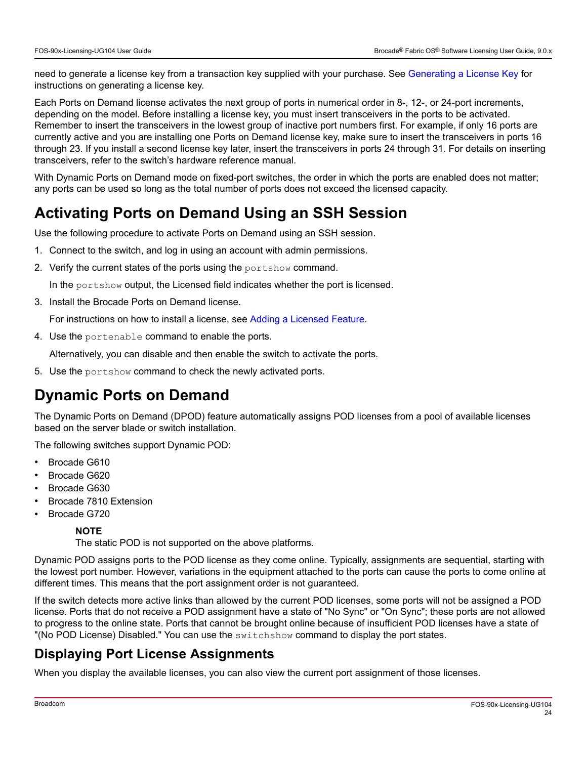need to generate a license key from a transaction key supplied with your purchase. See [Generating a License Key](#page-16-0) for instructions on generating a license key.

Each Ports on Demand license activates the next group of ports in numerical order in 8-, 12-, or 24-port increments, depending on the model. Before installing a license key, you must insert transceivers in the ports to be activated. Remember to insert the transceivers in the lowest group of inactive port numbers first. For example, if only 16 ports are currently active and you are installing one Ports on Demand license key, make sure to insert the transceivers in ports 16 through 23. If you install a second license key later, insert the transceivers in ports 24 through 31. For details on inserting transceivers, refer to the switch's hardware reference manual.

With Dynamic Ports on Demand mode on fixed-port switches, the order in which the ports are enabled does not matter; any ports can be used so long as the total number of ports does not exceed the licensed capacity.

## <span id="page-23-0"></span>**Activating Ports on Demand Using an SSH Session**

Use the following procedure to activate Ports on Demand using an SSH session.

- 1. Connect to the switch, and log in using an account with admin permissions.
- 2. Verify the current states of the ports using the portshow command.

In the portshow output, the Licensed field indicates whether the port is licensed.

3. Install the Brocade Ports on Demand license.

For instructions on how to install a license, see [Adding a Licensed Feature](#page-18-0).

4. Use the portenable command to enable the ports.

Alternatively, you can disable and then enable the switch to activate the ports.

5. Use the portshow command to check the newly activated ports.

### <span id="page-23-1"></span>**Dynamic Ports on Demand**

The Dynamic Ports on Demand (DPOD) feature automatically assigns POD licenses from a pool of available licenses based on the server blade or switch installation.

The following switches support Dynamic POD:

- Brocade G610
- Brocade G620
- Brocade G630
- Brocade 7810 Extension
- Brocade G720

#### **NOTE**

The static POD is not supported on the above platforms.

Dynamic POD assigns ports to the POD license as they come online. Typically, assignments are sequential, starting with the lowest port number. However, variations in the equipment attached to the ports can cause the ports to come online at different times. This means that the port assignment order is not guaranteed.

If the switch detects more active links than allowed by the current POD licenses, some ports will not be assigned a POD license. Ports that do not receive a POD assignment have a state of "No Sync" or "On Sync"; these ports are not allowed to progress to the online state. Ports that cannot be brought online because of insufficient POD licenses have a state of "(No POD License) Disabled." You can use the switchshow command to display the port states.

### <span id="page-23-2"></span>**Displaying Port License Assignments**

When you display the available licenses, you can also view the current port assignment of those licenses.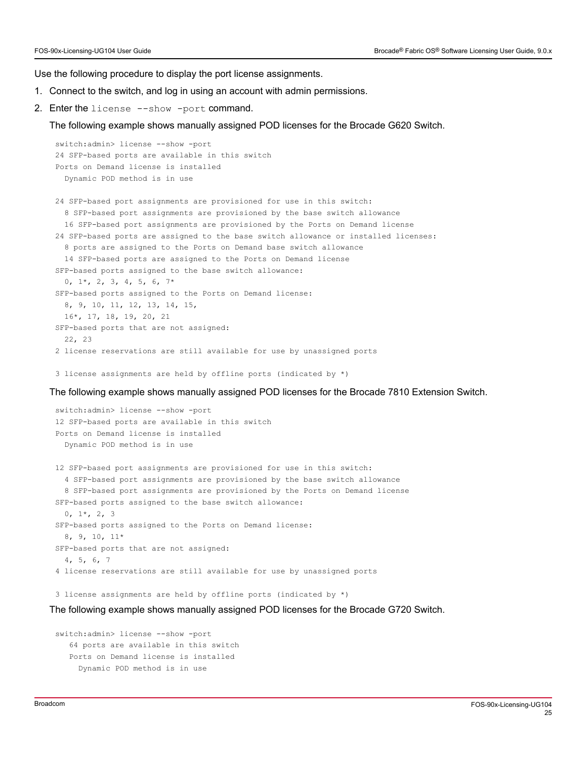Use the following procedure to display the port license assignments.

- 1. Connect to the switch, and log in using an account with admin permissions.
- 2. Enter the license --show -port command.

The following example shows manually assigned POD licenses for the Brocade G620 Switch.

```
switch:admin> license --show -port
24 SFP-based ports are available in this switch
Ports on Demand license is installed
   Dynamic POD method is in use
24 SFP-based port assignments are provisioned for use in this switch:
  8 SFP-based port assignments are provisioned by the base switch allowance
  16 SFP-based port assignments are provisioned by the Ports on Demand license
24 SFP-based ports are assigned to the base switch allowance or installed licenses:
   8 ports are assigned to the Ports on Demand base switch allowance
  14 SFP-based ports are assigned to the Ports on Demand license
SFP-based ports assigned to the base switch allowance:
  0, 1*, 2, 3, 4, 5, 6, 7*
SFP-based ports assigned to the Ports on Demand license:
  8, 9, 10, 11, 12, 13, 14, 15,
  16*, 17, 18, 19, 20, 21
SFP-based ports that are not assigned:
  22, 23
2 license reservations are still available for use by unassigned ports
3 license assignments are held by offline ports (indicated by *)
```
The following example shows manually assigned POD licenses for the Brocade 7810 Extension Switch.

```
switch:admin> license --show -port
12 SFP-based ports are available in this switch
Ports on Demand license is installed
  Dynamic POD method is in use
12 SFP-based port assignments are provisioned for use in this switch:
  4 SFP-based port assignments are provisioned by the base switch allowance
  8 SFP-based port assignments are provisioned by the Ports on Demand license
SFP-based ports assigned to the base switch allowance:
 0, 1*, 2, 3SFP-based ports assigned to the Ports on Demand license:
  8, 9, 10, 11*
SFP-based ports that are not assigned:
  4, 5, 6, 7
4 license reservations are still available for use by unassigned ports
```
3 license assignments are held by offline ports (indicated by \*)

The following example shows manually assigned POD licenses for the Brocade G720 Switch.

```
switch:admin> license --show -port
    64 ports are available in this switch
    Ports on Demand license is installed
      Dynamic POD method is in use
```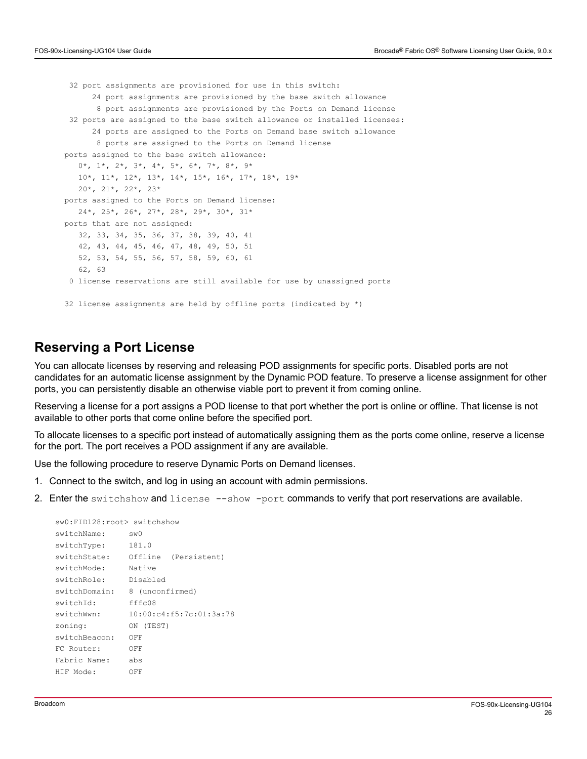```
 32 port assignments are provisioned for use in this switch:
       24 port assignments are provisioned by the base switch allowance
        8 port assignments are provisioned by the Ports on Demand license
  32 ports are assigned to the base switch allowance or installed licenses:
       24 ports are assigned to the Ports on Demand base switch allowance
        8 ports are assigned to the Ports on Demand license
 ports assigned to the base switch allowance:
   0*, 1*, 2*, 3*, 4*, 5*, 6*, 7*, 8*, 9* 10*, 11*, 12*, 13*, 14*, 15*, 16*, 17*, 18*, 19*
   20*, 21*, 22*, 23*
 ports assigned to the Ports on Demand license:
    24*, 25*, 26*, 27*, 28*, 29*, 30*, 31*
 ports that are not assigned:
   32, 33, 34, 35, 36, 37, 38, 39, 40, 41
    42, 43, 44, 45, 46, 47, 48, 49, 50, 51
    52, 53, 54, 55, 56, 57, 58, 59, 60, 61
    62, 63
  0 license reservations are still available for use by unassigned ports
 32 license assignments are held by offline ports (indicated by *)
```
### <span id="page-25-0"></span>**Reserving a Port License**

You can allocate licenses by reserving and releasing POD assignments for specific ports. Disabled ports are not candidates for an automatic license assignment by the Dynamic POD feature. To preserve a license assignment for other ports, you can persistently disable an otherwise viable port to prevent it from coming online.

Reserving a license for a port assigns a POD license to that port whether the port is online or offline. That license is not available to other ports that come online before the specified port.

To allocate licenses to a specific port instead of automatically assigning them as the ports come online, reserve a license for the port. The port receives a POD assignment if any are available.

Use the following procedure to reserve Dynamic Ports on Demand licenses.

- 1. Connect to the switch, and log in using an account with admin permissions.
- 2. Enter the switchshow and license --show -port commands to verify that port reservations are available.

```
sw0:FID128:root> switchshow
switchName: sw0
switchType: 181.0
switchState: Offline (Persistent)
switchMode: Native
switchRole: Disabled
switchDomain: 8 (unconfirmed)
switchId: fffc08
switchWwn: 10:00:c4:f5:7c:01:3a:78
zoning: ON (TEST)
switchBeacon: OFF
FC Router: OFF
Fabric Name: abs
HIF Mode: OFF
```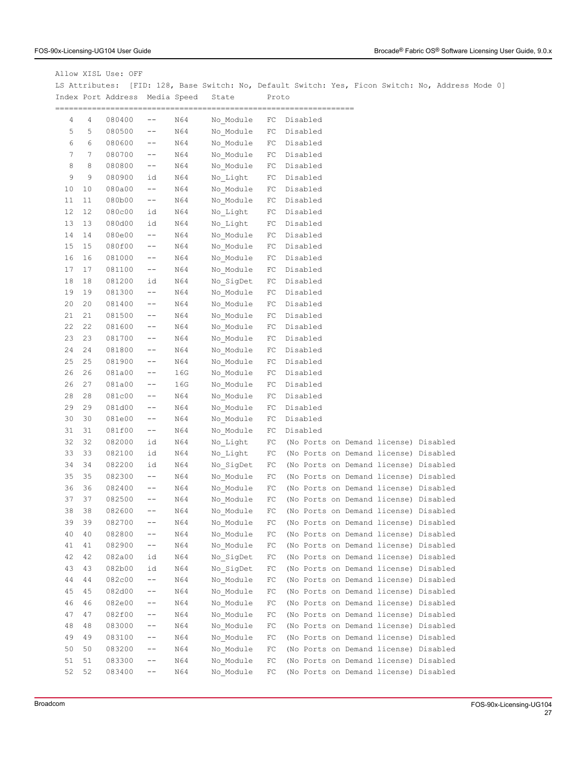| LS Attributes:  |        | Allow XISL Use: OFF            |                |            | [FID: 128, Base Switch: No, Default Switch: Yes, Ficon Switch: No, Address Mode 0] |            |                                       |  |  |  |  |
|-----------------|--------|--------------------------------|----------------|------------|------------------------------------------------------------------------------------|------------|---------------------------------------|--|--|--|--|
|                 |        | Index Port Address Media Speed |                |            | State                                                                              | Proto      |                                       |  |  |  |  |
| 4               | 4      | 080400                         | $- \, -$       | N64        |                                                                                    | FC         |                                       |  |  |  |  |
| 5               | 5      |                                | $--$           |            | No Module                                                                          |            | Disabled                              |  |  |  |  |
|                 |        | 080500                         |                | N64        | No Module FC                                                                       |            | Disabled                              |  |  |  |  |
| 6               | 6      | 080600                         | $- \, -$       | N64        | No Module FC                                                                       |            | Disabled                              |  |  |  |  |
| 7               | 7      | 080700                         | $- \, -$       | N64        | No Module                                                                          | FC         | Disabled                              |  |  |  |  |
| 8<br>9          | 8<br>9 | 080800                         | $- \, -$       | N64        | No Module                                                                          | FC         | Disabled                              |  |  |  |  |
| 10              | 10     | 080900<br>080a00               | id<br>$- \, -$ | N64        | No Light                                                                           | FC         | Disabled                              |  |  |  |  |
| 11              | 11     | 080b00                         | $- \, -$       | N64<br>N64 | No Module                                                                          | FC<br>FC   | Disabled                              |  |  |  |  |
| 12              | 12     | 080c00                         | id             | N64        | No Module<br>No Light                                                              | FC         | Disabled<br>Disabled                  |  |  |  |  |
| 13              | 13     | 080d00                         | id             | N64        |                                                                                    | FC         |                                       |  |  |  |  |
| 14              | 14     |                                | $ -$           | N64        | No Light                                                                           |            | Disabled                              |  |  |  |  |
| 15 <sub>1</sub> | 15     | 080e00                         | $ -$           | N64        | No Module                                                                          | FC         | Disabled                              |  |  |  |  |
| 16              | 16     | 080f00                         |                |            | No Module                                                                          | FC         | Disabled                              |  |  |  |  |
| 17              |        | 081000                         | $-\,-$         | N64        | No Module                                                                          | FC         | Disabled                              |  |  |  |  |
|                 | 17     | 081100                         | $ -$           | N64        | No Module                                                                          | FC         | Disabled                              |  |  |  |  |
| 18              | 18     | 081200                         | id             | N64        | No SigDet                                                                          | FC         | Disabled                              |  |  |  |  |
| 19              | 19     | 081300                         | $ -$           | N64        | No Module                                                                          | FC         | Disabled                              |  |  |  |  |
| 20              | 20     | 081400                         | $-\,-$         | N64        | No Module                                                                          | FC         | Disabled                              |  |  |  |  |
| 21              | 21     | 081500                         | $- \, -$       | N64        | No Module                                                                          | FC         | Disabled                              |  |  |  |  |
| 22              | 22     | 081600                         | $- \, -$       | N64        | No Module                                                                          | FC         | Disabled                              |  |  |  |  |
| 23              | 23     | 081700                         | $- \, -$       | N64        | No Module                                                                          | FC         | Disabled                              |  |  |  |  |
| 24              | 24     | 081800                         | $- \, -$       | N64        | No Module                                                                          | FC         | Disabled                              |  |  |  |  |
| 25              | 25     | 081900                         | $- \, -$       | N64        | No Module                                                                          | FC         | Disabled                              |  |  |  |  |
| 26              | 26     | 081a00                         | $- \, -$       | 16G        | No Module                                                                          | FC         | Disabled                              |  |  |  |  |
| 26              | 27     | 081a00                         | $- \, -$       | 16G        | No Module                                                                          | FC         | Disabled                              |  |  |  |  |
| 28              | 28     | 081c00                         | $- \, -$       | N64        | No Module                                                                          | FC         | Disabled                              |  |  |  |  |
| 29              | 29     | 081d00                         | $- \, -$       | N64        | No Module                                                                          | FC         | Disabled                              |  |  |  |  |
| 30              | 30     | 081e00                         | $- \, -$       | N64        | No Module                                                                          | FC         | Disabled                              |  |  |  |  |
| 31              | 31     | 081f00                         | $ -$           | N64        | No Module                                                                          | FC         | Disabled                              |  |  |  |  |
| 32              | 32     | 082000                         | id             | N64        | No Light                                                                           | FC         | (No Ports on Demand license) Disabled |  |  |  |  |
| 33              | 33     | 082100                         | id             | N64        | No Light                                                                           | FC         | (No Ports on Demand license) Disabled |  |  |  |  |
| 34              | 34     | 082200                         | id             | N64        | No SigDet                                                                          | FC         | (No Ports on Demand license) Disabled |  |  |  |  |
| 35              | 35     | 082300                         | $- \, -$       | N64        | No Module                                                                          | FC         | (No Ports on Demand license) Disabled |  |  |  |  |
| 36              | 36     | 082400                         | $- \, -$       | N64        | No Module                                                                          | FC         | (No Ports on Demand license) Disabled |  |  |  |  |
| 37              | 37     | 082500                         | $- -$          | N64        | No Module                                                                          | FC         | (No Ports on Demand license) Disabled |  |  |  |  |
| 38              | 38     | 082600                         | $- -$          | N64        | No Module                                                                          | FC         | (No Ports on Demand license) Disabled |  |  |  |  |
| 39              | 39     | 082700                         | $- \, -$       | N64        | No Module                                                                          | FC         | (No Ports on Demand license) Disabled |  |  |  |  |
| 40              | 40     | 082800                         | $- \, -$       | N64        | No Module                                                                          | FC         | (No Ports on Demand license) Disabled |  |  |  |  |
| 41              | 41     | 082900                         | $- \, -$       | N64        | No Module                                                                          | FC         | (No Ports on Demand license) Disabled |  |  |  |  |
| 42              | 42     | 082a00                         | id             | N64        | No SigDet                                                                          | FC         | (No Ports on Demand license) Disabled |  |  |  |  |
| 43              | 43     | 082b00                         | id             | N64        | No_SigDet                                                                          | FC         | (No Ports on Demand license) Disabled |  |  |  |  |
| 44              | 44     | 082c00                         | $- \, -$       | N64        | No Module                                                                          | FC         | (No Ports on Demand license) Disabled |  |  |  |  |
| 45              | 45     | 082d00                         | $- \, -$       | N64        | No Module                                                                          | FC         | (No Ports on Demand license) Disabled |  |  |  |  |
| $4\,6$          | 46     | 082e00                         | $- \, -$       | N64        | No Module                                                                          | FC         | (No Ports on Demand license) Disabled |  |  |  |  |
| 47              | 47     | 082f00                         | $- \, -$       | N64        | No Module                                                                          | FC         | (No Ports on Demand license) Disabled |  |  |  |  |
| $4\,8$          | 48     | 083000                         | $- \, -$       | N64        | No Module                                                                          | FC         | (No Ports on Demand license) Disabled |  |  |  |  |
| 49              | 49     | 083100                         | $- \, -$       | N64        | No Module                                                                          | FC         | (No Ports on Demand license) Disabled |  |  |  |  |
| 50              | 50     | 083200                         | $- \, -$       | N64        | No Module                                                                          | ${\rm FC}$ | (No Ports on Demand license) Disabled |  |  |  |  |
| 51              | 51     | 083300                         | $- \, -$       | N64        | No Module                                                                          | ${\rm FC}$ | (No Ports on Demand license) Disabled |  |  |  |  |
| 52              | 52     | 083400                         | $- \, -$       | N64        | No Module                                                                          | FC         | (No Ports on Demand license) Disabled |  |  |  |  |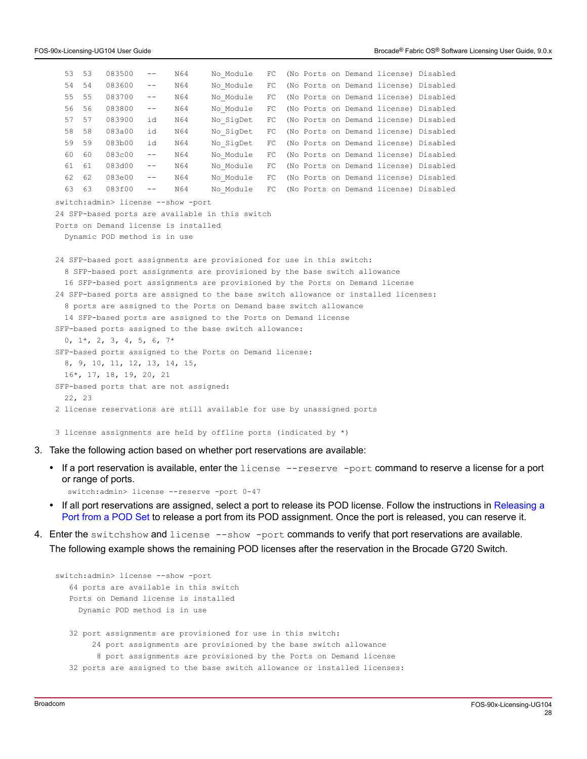```
 53 53 083500 -- N64 No_Module FC (No Ports on Demand license) Disabled
  54 54 083600 -- N64 No_Module FC (No Ports on Demand license) Disabled
  55 55 083700 -- N64 No_Module FC (No Ports on Demand license) Disabled
  56 56 083800 -- N64 No_Module FC (No Ports on Demand license) Disabled
  57 57 083900 id N64 No_SigDet FC (No Ports on Demand license) Disabled
  58 58 083a00 id N64 No_SigDet FC (No Ports on Demand license) Disabled
  59 59 083b00 id N64 No_SigDet FC (No Ports on Demand license) Disabled
  60 60 083c00 -- N64 No_Module FC (No Ports on Demand license) Disabled
                       N64 No Module FC (No Ports on Demand license) Disabled
  62 62 083e00 -- N64 No_Module FC (No Ports on Demand license) Disabled
  63 63 083f00 -- N64 No_Module FC (No Ports on Demand license) Disabled
switch:admin> license --show -port
24 SFP-based ports are available in this switch
Ports on Demand license is installed
  Dynamic POD method is in use
24 SFP-based port assignments are provisioned for use in this switch:
  8 SFP-based port assignments are provisioned by the base switch allowance
  16 SFP-based port assignments are provisioned by the Ports on Demand license
24 SFP-based ports are assigned to the base switch allowance or installed licenses:
  8 ports are assigned to the Ports on Demand base switch allowance
  14 SFP-based ports are assigned to the Ports on Demand license
SFP-based ports assigned to the base switch allowance:
 0, 1*, 2, 3, 4, 5, 6, 7*SFP-based ports assigned to the Ports on Demand license:
  8, 9, 10, 11, 12, 13, 14, 15,
  16*, 17, 18, 19, 20, 21
SFP-based ports that are not assigned:
  22, 23
2 license reservations are still available for use by unassigned ports
3 license assignments are held by offline ports (indicated by *)
```
- 3. Take the following action based on whether port reservations are available:
	- $\bullet$  If a port reservation is available, enter the license  $-$ reserve  $-$ port command to reserve a license for a port or range of ports.

```
switch:admin> license --reserve -port 0-47
```
- If all port reservations are assigned, select a port to release its POD license. Follow the instructions in [Releasing a](#page-28-0) [Port from a POD Set t](#page-28-0)o release a port from its POD assignment. Once the port is released, you can reserve it.
- 4. Enter the switchshow and license --show -port commands to verify that port reservations are available. The following example shows the remaining POD licenses after the reservation in the Brocade G720 Switch.

```
switch:admin> license --show -port
    64 ports are available in this switch
    Ports on Demand license is installed
      Dynamic POD method is in use
    32 port assignments are provisioned for use in this switch:
         24 port assignments are provisioned by the base switch allowance
          8 port assignments are provisioned by the Ports on Demand license
    32 ports are assigned to the base switch allowance or installed licenses:
```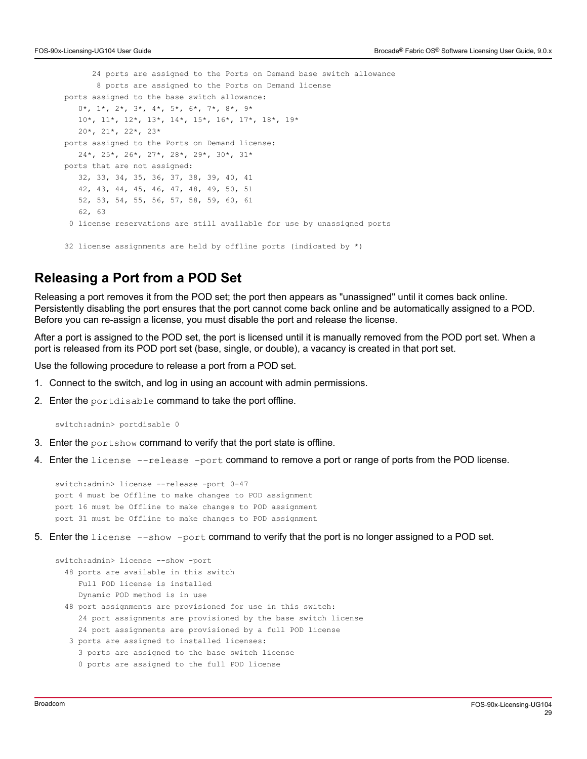```
 24 ports are assigned to the Ports on Demand base switch allowance
        8 ports are assigned to the Ports on Demand license
 ports assigned to the base switch allowance:
   0^*, 1^*, 2^*, 3^*, 4^*, 5^*, 6^*, 7^*, 8^*, 9^* 10*, 11*, 12*, 13*, 14*, 15*, 16*, 17*, 18*, 19*
   20*, 21*, 22*, 23* ports assigned to the Ports on Demand license:
    24*, 25*, 26*, 27*, 28*, 29*, 30*, 31*
 ports that are not assigned:
    32, 33, 34, 35, 36, 37, 38, 39, 40, 41
    42, 43, 44, 45, 46, 47, 48, 49, 50, 51
    52, 53, 54, 55, 56, 57, 58, 59, 60, 61
    62, 63
 0 license reservations are still available for use by unassigned ports
 32 license assignments are held by offline ports (indicated by *)
```
### <span id="page-28-0"></span>**Releasing a Port from a POD Set**

Releasing a port removes it from the POD set; the port then appears as "unassigned" until it comes back online. Persistently disabling the port ensures that the port cannot come back online and be automatically assigned to a POD. Before you can re-assign a license, you must disable the port and release the license.

After a port is assigned to the POD set, the port is licensed until it is manually removed from the POD port set. When a port is released from its POD port set (base, single, or double), a vacancy is created in that port set.

Use the following procedure to release a port from a POD set.

- 1. Connect to the switch, and log in using an account with admin permissions.
- 2. Enter the portdisable command to take the port offline.

switch:admin> portdisable 0

- 3. Enter the portshow command to verify that the port state is offline.
- 4. Enter the license --release -port command to remove a port or range of ports from the POD license.

```
switch:admin> license --release -port 0-47
port 4 must be Offline to make changes to POD assignment
port 16 must be Offline to make changes to POD assignment
port 31 must be Offline to make changes to POD assignment
```
5. Enter the license --show -port command to verify that the port is no longer assigned to a POD set.

```
switch:admin> license --show -port
   48 ports are available in this switch
     Full POD license is installed
      Dynamic POD method is in use
   48 port assignments are provisioned for use in this switch:
      24 port assignments are provisioned by the base switch license
      24 port assignments are provisioned by a full POD license
    3 ports are assigned to installed licenses:
      3 ports are assigned to the base switch license
      0 ports are assigned to the full POD license
```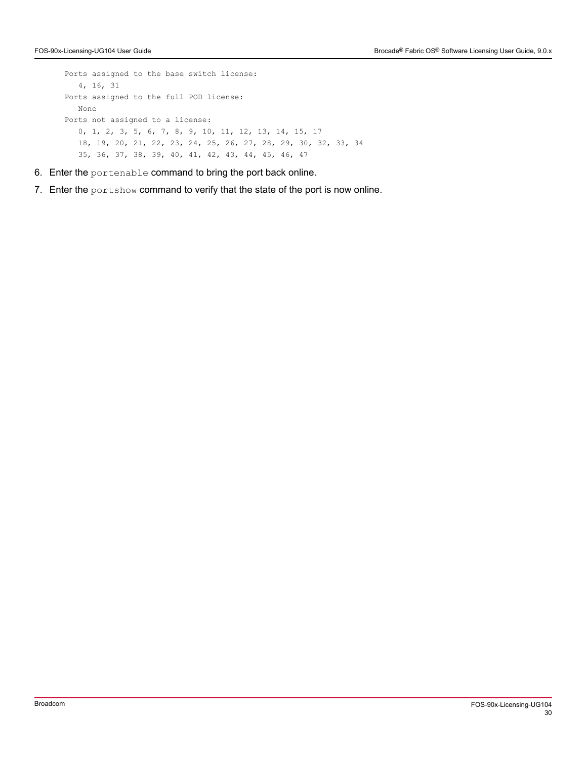Ports assigned to the base switch license: 4, 16, 31 Ports assigned to the full POD license: None Ports not assigned to a license: 0, 1, 2, 3, 5, 6, 7, 8, 9, 10, 11, 12, 13, 14, 15, 17 18, 19, 20, 21, 22, 23, 24, 25, 26, 27, 28, 29, 30, 32, 33, 34 35, 36, 37, 38, 39, 40, 41, 42, 43, 44, 45, 46, 47

- 6. Enter the portenable command to bring the port back online.
- 7. Enter the portshow command to verify that the state of the port is now online.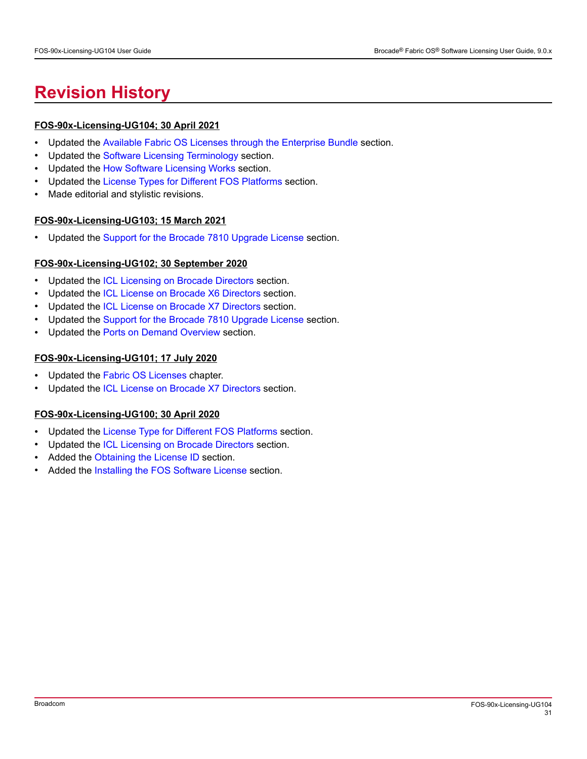# <span id="page-30-0"></span>**Revision History**

#### **FOS-90x-Licensing-UG104; 30 April 2021**

- Updated the [Available Fabric OS Licenses through the Enterprise Bundle](#page-9-1) section.
- Updated the [Software Licensing Terminology](#page-6-2) section.
- Updated the [How Software Licensing Works](#page-6-3) section.
- Updated the [License Types for Different FOS Platforms](#page-7-0) section.
- Made editorial and stylistic revisions.

#### **FOS-90x-Licensing-UG103; 15 March 2021**

• Updated the [Support for the Brocade 7810 Upgrade License](#page-11-0) section.

#### **FOS-90x-Licensing-UG102; 30 September 2020**

- Updated the [ICL Licensing on Brocade Directors](#page-10-0) section.
- Updated the [ICL License on Brocade X6 Directors](#page-10-1) section.
- Updated the [ICL License on Brocade X7 Directors](#page-10-2) section.
- Updated the [Support for the Brocade 7810 Upgrade License](#page-11-0) section.
- Updated the [Ports on Demand Overview](#page-22-1) section.

#### **FOS-90x-Licensing-UG101; 17 July 2020**

- Updated the [Fabric OS Licenses](#page-9-0) chapter.
- Updated the [ICL License on Brocade X7 Directors](#page-10-2) section.

#### **FOS-90x-Licensing-UG100; 30 April 2020**

- Updated the [License Type for Different FOS Platforms](#page-7-0) section.
- Updated the [ICL Licensing on Brocade Directors](#page-10-0) section.
- Added the [Obtaining the License ID](#page-15-3) section.
- Added the [Installing the FOS Software License](#page-16-1) section.